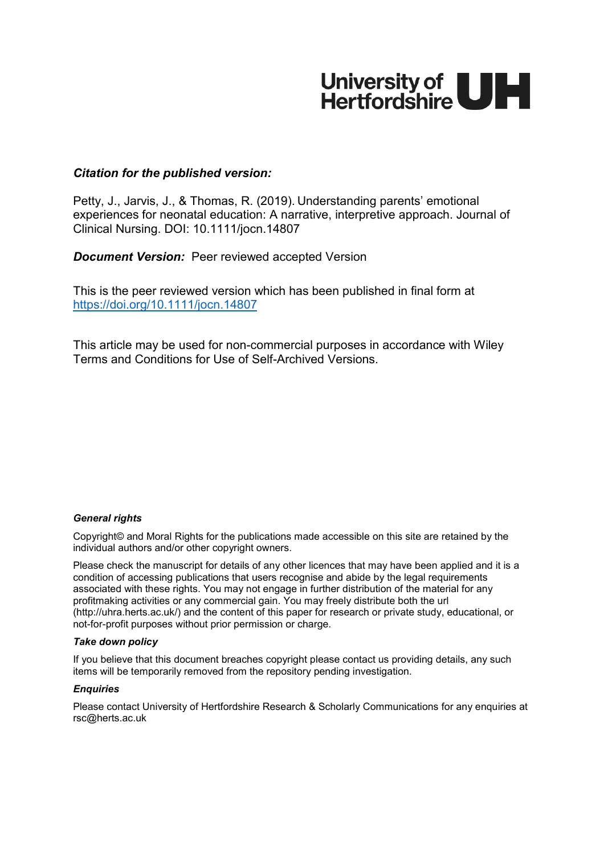# University of **ULLE**<br>Hertfordshire

# *Citation for the published version:*

Petty, J., Jarvis, J., & Thomas, R. (2019). Understanding parents' emotional experiences for neonatal education: A narrative, interpretive approach. Journal of Clinical Nursing. DOI: 10.1111/jocn.14807

*Document Version: Peer reviewed accepted Version* 

This is the peer reviewed version which has been published in final form at https://doi.org/10.1111/jocn.14807

This article may be used for non-commercial purposes in accordance with Wiley Terms and Conditions for Use of Self-Archived Versions.

## *General rights*

Copyright© and Moral Rights for the publications made accessible on this site are retained by the individual authors and/or other copyright owners.

Please check the manuscript for details of any other licences that may have been applied and it is a condition of accessing publications that users recognise and abide by the legal requirements associated with these rights. You may not engage in further distribution of the material for any profitmaking activities or any commercial gain. You may freely distribute both the url (http://uhra.herts.ac.uk/) and the content of this paper for research or private study, educational, or not-for-profit purposes without prior permission or charge.

## *Take down policy*

If you believe that this document breaches copyright please contact us providing details, any such items will be temporarily removed from the repository pending investigation.

## *Enquiries*

Please contact University of Hertfordshire Research & Scholarly Communications for any enquiries at rsc@herts.ac.uk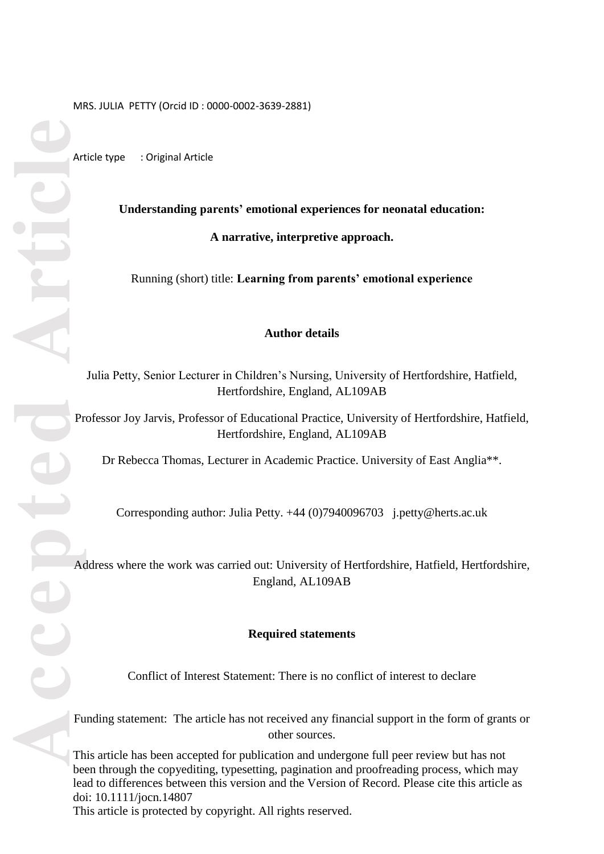#### MRS. JULIA PETTY (Orcid ID : 0000-0002-3639-2881)

Article type : Original Article

**Understanding parents' emotional experiences for neonatal education:**

**A narrative, interpretive approach.**

Running (short) title: **Learning from parents' emotional experience**

#### **Author details**

Julia Petty, Senior Lecturer in Children's Nursing, University of Hertfordshire, Hatfield, Hertfordshire, England, AL109AB

Professor Joy Jarvis, Professor of Educational Practice, University of Hertfordshire, Hatfield, Hertfordshire, England, AL109AB

Dr Rebecca Thomas, Lecturer in Academic Practice. University of East Anglia\*\*.

Corresponding author: Julia Petty. +44 (0)7940096703 j.petty@herts.ac.uk

Address where the work was carried out: University of Hertfordshire, Hatfield, Hertfordshire, England, AL109AB

#### **Required statements**

Conflict of Interest Statement: There is no conflict of interest to declare

Funding statement: The article has not received any financial support in the form of grants or other sources.

This article has been accepted for publication and undergone full peer review but has not been through the copyediting, typesetting, pagination and proofreading process, which may lead to differences between this version and the Version of Record. Please cite this article as doi: 10.1111/jocn.14807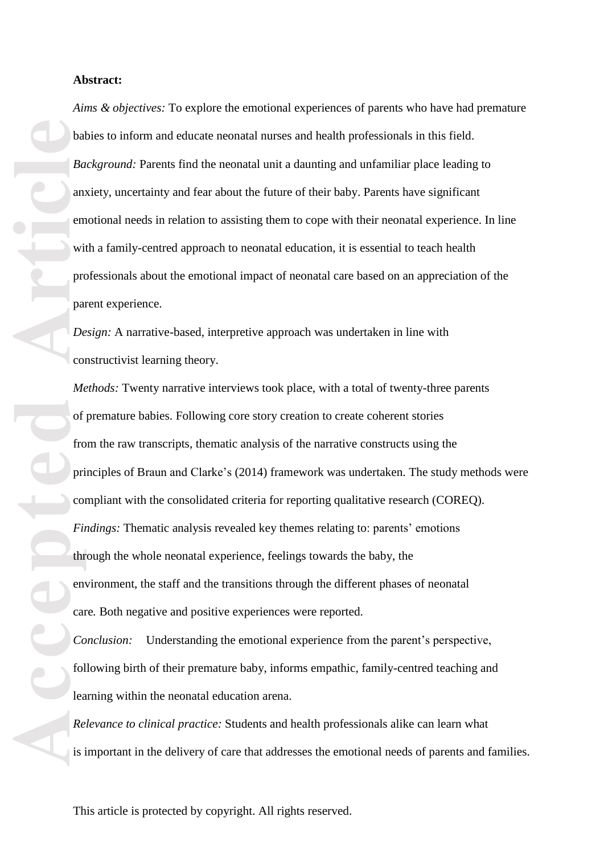## **Abstract:**

*Aims & objectives :* To explore the emotional experiences of parents who have had premature babies to inform and educate neonatal nurses and health professionals in this field . *Background:* Parents find the neonatal unit a daunting and unfamiliar place leading to anxiety, uncertainty and fear about the future of their baby. Parents have significant emotional needs in relation to assisting them to cope with their neonatal experience. In line with a family -centred approach to neonatal education , it is essential to teach health professionals about the emotional impact of neonatal care based on an appreciation of the parent experience.

*Design :* A narrative -based, interpretive approach was undertaken in line with constructivist learning theory.

**Accepted Article**<br> **Accepted Article**<br> **Article**<br> **Article**<br> **Article**<br> **Article**<br> **Article**<br> **Article**<br> **Article**<br> **Article**<br> **Article**<br> **Article**<br> **Article**<br> **Article**<br> **Article**<br> **Article**<br> **Article**<br> **Article**<br> **A** Methods: Twenty narrative interviews took place, with a total of twenty-three parents of premature babies. Following core story creation to create coherent stories from the raw transcripts, thematic analysis of the narrative constructs using the principles of Braun and Clarke's (2014) framework was undertaken. The study methods were compliant with the consolidated criteria for reporting qualitative research (COREQ). *Findings:* Thematic analysis revealed key themes relating to: parents' emotions through the whole neonatal experience, feelings towards the baby, the environment, the staff and the transitions through the different phases of neonatal care*.* Both negative and positive experiences were reported.

*Conclusion:* Understanding the emotional experience from the parent's perspective, following birth of their premature baby, informs empathic, family -centred teaching and learning within the neonatal education arena.

*Relevance to clinical practice :* Students and health professionals alike can learn what is important in the delivery of care that addresses the emotional needs of parents and families .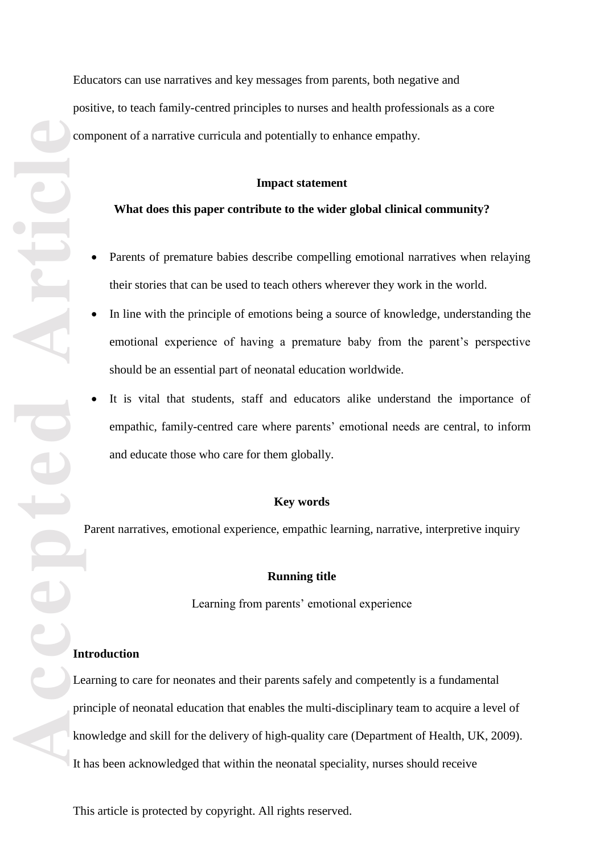Educators can use narratives and key messages from parents, both negative and positive, to teach family -centred principles to nurses and health professionals as a core component of a narrative curricula and potentially to enhance empathy.

#### **Impact statement**

# **What does this paper contribute to the wider global clinical community?**

- Parents of premature babies describe compelling emotional narratives when relaying their stories that can be used to teach others wherever they work in the world.
- In line with the principle of emotions being a source of knowledge, understanding the emotional experience of having a premature baby from the parent's perspective should be an essential part of neonatal education worldwide.
- It is vital that students, staff and educators alike understand the importance of empathic, family -centred care where parents' emotional needs are central, to inform and educate those who care for them globally .

#### **Key words**

Parent narratives, emotional experience, empathic learning, narrative, interpretive inquiry

## **Running title**

Learning from parents' emotional experience

## **Introduction**

Accepted Article Learning to care for neonates and their parents safely and competently is a fundamental principle of neonatal education that enables the multi -disciplinary team to acquire a level of knowledge and skill for the delivery of high -quality care (Department of Health, UK, 2009). It has been acknowledged that within the neonatal speciality , nurses should receive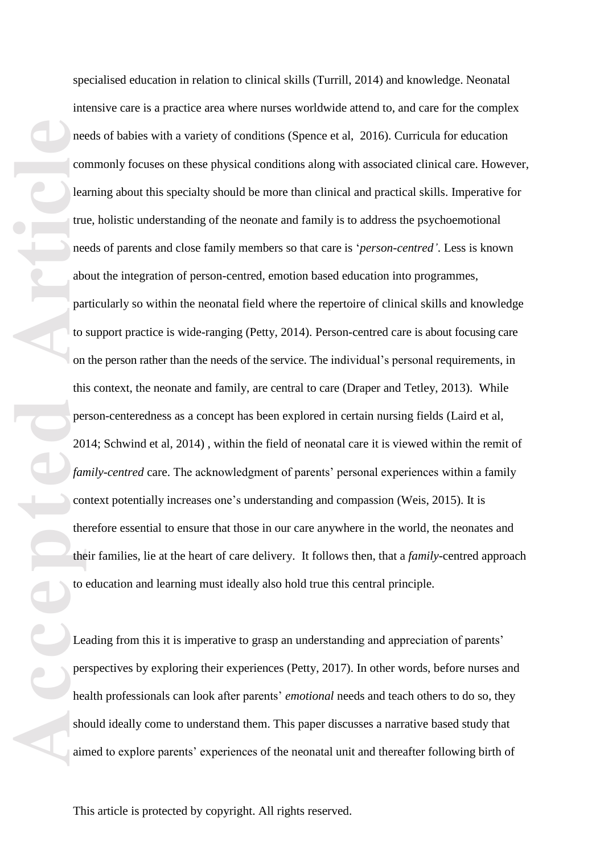**Accepted Articles** <br> **Accepted Articles and**<br> **Articles and**<br> **Articles Conduct Conduct Conduct and Conduct and Conduct and Conduct and Conduct and Conduct and Articles and Articles and Articles and Articles and Artic** specialised education in relation to clinical skills (Turrill, 2014) and knowledge. Neonatal intensive care is a practice area where nurses worldwide attend to , and care for the complex needs of babies with a variety of conditions (Spence et al, 2016). Curricula for education commonly focuses on these physical conditions along with associated clinical care. However, learning about this specialty should be more than clinical and practical skills. Imperative for true, holistic understanding of the neonate and family is to address the psychoemotional needs of parents and close family members so that care is '*person -centred '*. Less is known about the integration of person -centred, emotion based education into programmes, particularly so within the neonatal field where the repertoire of clinical skills and knowledge to support practice is wide -ranging (Petty, 2014). Person -centred care is about focusing care on the person rather than the needs of the service. The individual's personal requirements, in this context, the neonate and family, are central to care (Draper and Tetley, 2013). While person -centeredness as a concept has been explored in certain nursing fields (Laird et al, 2014; Schwind et al, 2014) , within the field of neonatal care it is viewed within the remit of *family -centred* care. The acknowledgment of parents' personal experiences within a family context potentially increases one's understanding and compassion (Weis, 2015) . It is therefore essential to ensure that those in our care anywhere in the world, the neonates and their families, lie at the heart of care delivery. It follows then, that a *family*-centred approach to education and learning must ideally also hold true this central principle.

Leading from this it is imperative to grasp an understanding and appreciation of parents' perspective s by exploring their experiences (Petty, 2017). In other words, before nurses and health professionals can look after parents' *emotional* needs and teach others to do so, they should ideally come to understand them. This paper discusses a narrative based study that aimed to explore parents' experiences of the neonatal unit and thereafter following birth of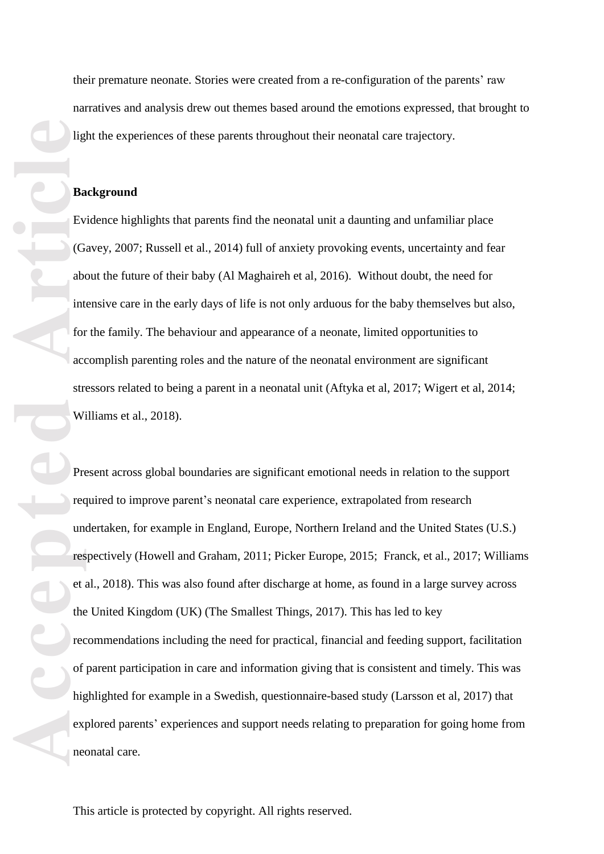their premature neonate. Stories were created from a re -configuration of the parents' raw narratives and analysis drew out themes based around the emotions expressed , t hat brought to light the experiences of these parents throughout their neonatal care trajectory .

#### **Background**

Evidence highlights that parents find the neonatal unit a daunting and unfamiliar place (Gavey, 2007; Russell et al., 2014 ) full of anxiety provoking events, uncertainty and fear about the future of their baby (Al Maghaireh et al, 2016). Without doubt, the need for intensive care in the early days of life is not only arduous for the baby themselves but also, for the family. The behaviour and appearance of a neonate, limited opportunities to accomplish parenting roles and the nature of the neonatal environment are significant stressors related to being a parent in a neonatal unit (Aftyka et al, 2017; Wigert et al, 2014; Williams et al., 2018).

**Accepted Article**<br> **Article**<br> **Article**<br> **Article**<br> **Article**<br> **Article**<br> **Article**<br> **Article**<br> **Article**<br> **Article**<br> **Article**<br> **Article**<br> **Article**<br> **Precedent**<br> **Article**<br> **Precedent**<br> **Article**<br> **Precedent**<br> **Articl** Present across global boundaries are significant emotional needs in relation to the support required to improve parent's neonatal care experience , extrapolated from research undertaken, for example in England, Europe, Northern Ireland and the United States (U.S.) respectively (Howell and Graham, 2011; Picker Europe, 2015; Franck, et al., 2017; Williams et al., 2018). This was also found after discharge at home , as found in a large survey across the United Kingdom (UK) (The Smallest Things, 2017). This has led to key recommendations including the need for practical, financial and feeding support, facilitation of parent participation in care and information giving that is consistent and timely. This was highlighted for example in a Swedish, questionnaire -based study (Larsson et al, 2017) that explored parents' experiences and support needs relating to preparation for going home from neonatal care.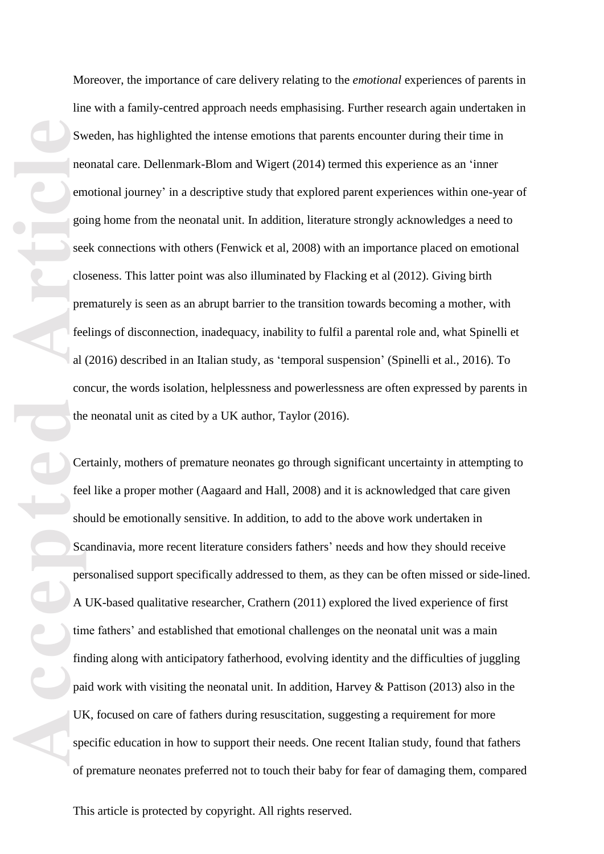Moreover, the importance of care delivery relating to the *emotional* experience s of parents in line with a family -centred approach needs emphasising. Further research again undertaken in Sweden, has highlighted the intense emotions that parents encounter during their time in neonatal care. Dellenmark -Blom and Wigert (2014) termed this experience as an ' inner emotional journey' in a descriptive study that explored parent experiences within one-year of going home from the neonatal unit . In addition, literature strongly acknowledges a need to seek connections with others (Fenwick et al, 2008) with an importance placed on emotional closeness. This latter point was also illuminated by Flacking et al (2012). Giving birth prematurely is seen as an abrupt barrier to the transition towards becoming a mother, with feelings of disconnection, inadequacy, inability to fulfil a parental role and, what Spinelli et al (2016) described in an Italian study, as 'temporal suspension ' (Spinelli et al., 2016). To concur, the words isolation, helplessness and powerlessness are often expressed by parents in the neonatal unit as cited by a UK author, Taylor (2016) .

Sweet of the contract of the contract of the contract of the contract of the contract of the show and the contract of the show of the show of the property of the show of the show of the show of the show of the show of the Certainly, mothers of premature neonates go through significant uncertainty in attempting to feel like a proper mother (Aagaard and Hall, 2008) and it is acknowledged that care given should be emotionally sensitive. In addition, to add to the above work undertaken in Scandinavia, more recent literature considers fathers' needs and how they should receive personalised support specifically addressed to them, as they can be often missed or side-lined. A UK -based qualitative researcher, Crathern (2011) explored the lived experience of first time fathers' and established that emotional challenges on the neonatal unit was a main finding along with anticipatory fatherhood, evolving identity and the difficulties of juggling paid work with visiting the neonatal unit. In addition, Harvey & Pattison (2013) also in the UK, focused on care of fathers during resuscitation, suggesting a requirement for more specific education in how to support their needs . One recent Italian study, found that father s of premature neonates preferred not to touch their baby for fear of damaging them, compared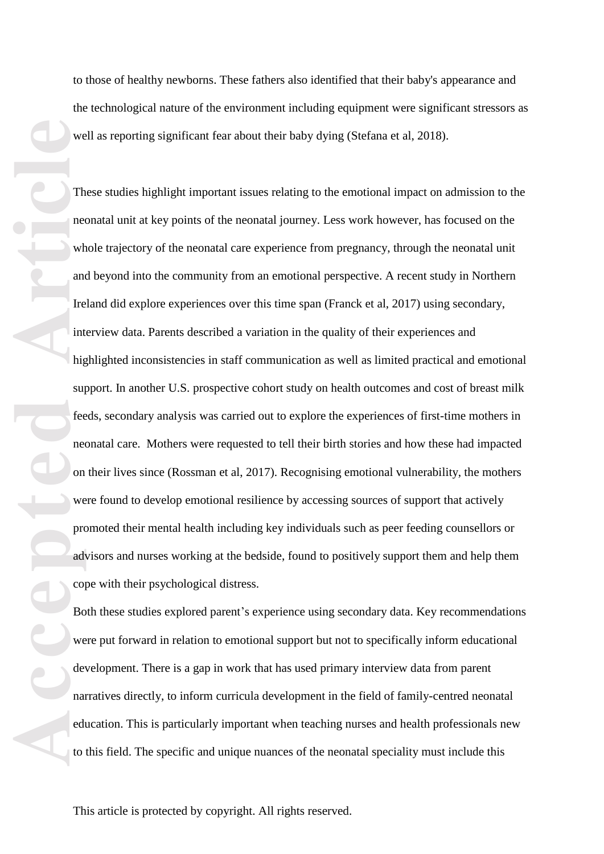to those of healthy newborns. These fathers also identified that their baby's appearance and the technological nature of the environment including equipment were significant stressors as well as reporting significant fear about their baby dying (Stefana et al, 2018).

**Accepted Article**<br> **Article**<br> **Article**<br> **Article**<br> **Article**<br> **Article**<br> **Article**<br> **Article**<br> **Article**<br> **Article**<br> **Article**<br> **Article**<br> **Article**<br> **Article**<br> **Article**<br> **Article**<br> **Article**<br> **Article**<br> **Article**<br> **A** These studies highlight important issues relating to the emotional impact on admission to the neonatal unit at key points of the neonatal journey. Less work however, has focused on the whole trajectory of the neonatal care experience from pregnancy, through the neonatal unit and beyond into the community from an emotional perspective. A recent study in Northern Ireland did explore experiences over this time span (Franck et al, 2017) using secondary, interview data. Parents described a variation in the quality of their experiences and highlighted inconsistencies in staff communication as well as limited practical and emotional support. In another U.S. prospective cohort study on health outcomes and cost of breast milk feeds, secondary analysis was carried out to explore the experiences of first-time mothers in neonatal care. Mothers were requested to tell their birth stories and how these had impacted on their lives since (Rossman et al, 2017). Recognising emotional vulnerability, the mothers were found to develop emotional resilience by accessing sources of support that actively promoted their men tal health including key individuals such as peer feeding counsellors or advisors and nurses working at the bedside, found to positively support them and help them cope with their psychological distress.

Both these studies explored parent 's experience using secondary data. Key recommendations were put forward in relation to emotional support but not to specifically inform educational development. There is a gap in work that has used primary interview data from parent narratives directly , to inform curricula development in the field of family -centred neonatal education. This is particularly important when teaching nurses and health professionals new to this field. The specific and unique nuances of the neonatal speciality must include this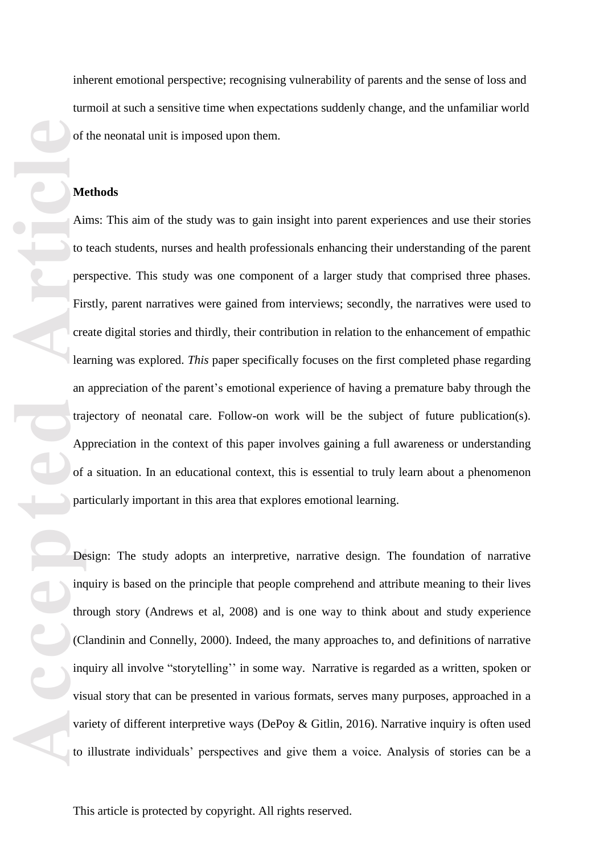inherent emotional perspective; recognising vulnerability of parents and the sense of loss and turmoil at such a sensitive time when expectations suddenly change, and the unfamiliar world of the neonatal unit is imposed upon them.

#### **Methods**

of<br> **Accepted**<br>
Accepted<br>
Article<br>
Article<br>
Article<br>
Article<br>
Article<br>
De<br>
Article<br>
Article<br>
De<br>
Internet<br>
Containt<br>
Containt<br>
Containt<br>
Containt<br>
Containt<br>
Containt<br>
Containt<br>
Containt<br>
Containt<br>
Containt<br>
Containt<br>
Conta Aims: This aim of the study was to gain insight into parent experiences and use their stories to teach students, nurses and health professionals enhancing their understanding of the parent perspective. This study was one component of a larger study that comprised three phases. Firstly, parent narratives were gained from interviews; secondly, the narratives were used to create digital stories and thirdly, their contribution in relation to the enhancement of empathic learning was explored. *This* paper specifically focuses on the first completed phase regarding an appreciation of the parent's emotional experience of having a premature baby through the trajectory of neonatal care. Follow -on work will be the subject of future publication(s) . Appreciation in the context of this paper involves gaining a full awareness or understanding of a situation. In an educational context, this is essential to truly learn about a phenomenon particularly important in this area that explores emotional learning .

Design: The study adopts an interpretive, narrative design. The foundation of narrative inquiry is based on the principle that people comprehend and attribute meaning to their lives through story (Andrews et al, 2008) and is one way to think about and study experience (Clandinin and Connelly, 2000). Indeed, the many approaches to, and definitions of narrative inquiry all involve "storytelling'' in some way. Narrative is regarded as a written, spoken or visual story that can be presented in various formats, serves many purposes, approached in a variety of different interpretive ways (DePoy & Gitlin, 2016) . Narrative inquiry is often used to illustrate individuals' perspectives and give them a voice. Analysis of stories can be a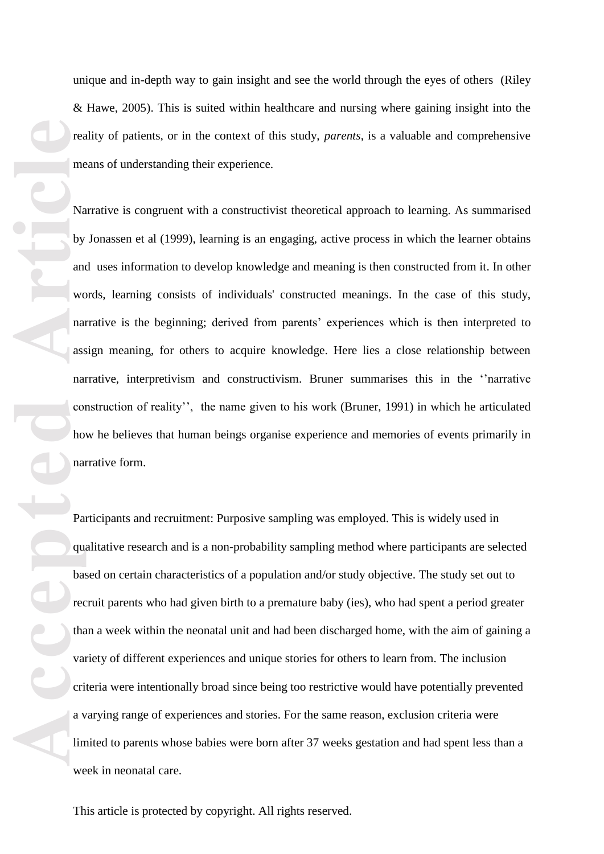unique and in -depth way to gain insight and see the world through the eyes of others (Riley & Hawe, 2005) . This is suited within healthcare and nursing where gaining insight into the reality of patients, or in the context of this study, *parents*, is a valuable and comprehensive means of understanding their experience.

Narrative is congruent with a constructivist theoretical approach to learning. As summarised by Jonassen et al (1999) , learning is an engaging, active process in which the learner obtains and uses information to develop knowledge and meaning is then constructed from it . In other words, learning consists of individuals' constructed meanings. In the case of this study, narrative is the beginning; derived from parents' experiences which is then interpreted to assign meaning, for others to acquire knowledge. Here lies a close relationship between narrative, interpretivism and constructivism. Bruner summarises this in the ''narrative construction of reality'', the name given to his work (Bruner, 1991) in which he articulated how he believes that human beings organise experience and memories of events primarily in narrative form.

**Examed**<br> **Accepted**<br> **Article**<br> **Article**<br> **Accepted**<br> **Accepted**<br> **Accepted**<br> **Accepted**<br> **Accepted**<br> **Accepted**<br> **Accepted**<br> **Accepted**<br> **Accepted**<br> **Accepted**<br> **Accepted**<br> **Accepted**<br> **Accepted**<br> **Accepted**<br> **Accepted** Participants and recruitment: Purposive sampling was employed. This is widely used in qualitative research and is a non -probability sampling method where participants are selected based on certain characteristics of a population and/or study objective. The study set out to recruit parents who had given birth to a premature baby (ies), who had spent a period greater than a week within the neonatal unit and had been discharged hom e , with the aim of gaining a variety of different experiences and unique stories for others to learn from. The inclusion criteria were intentionally broad since being too restrictive would have potentially prevented a varying range of experiences and stories . For the same reason, exclusion criteria were limited to parents whose babies were born after 37 weeks gestation and had spent less than a week in neonatal care.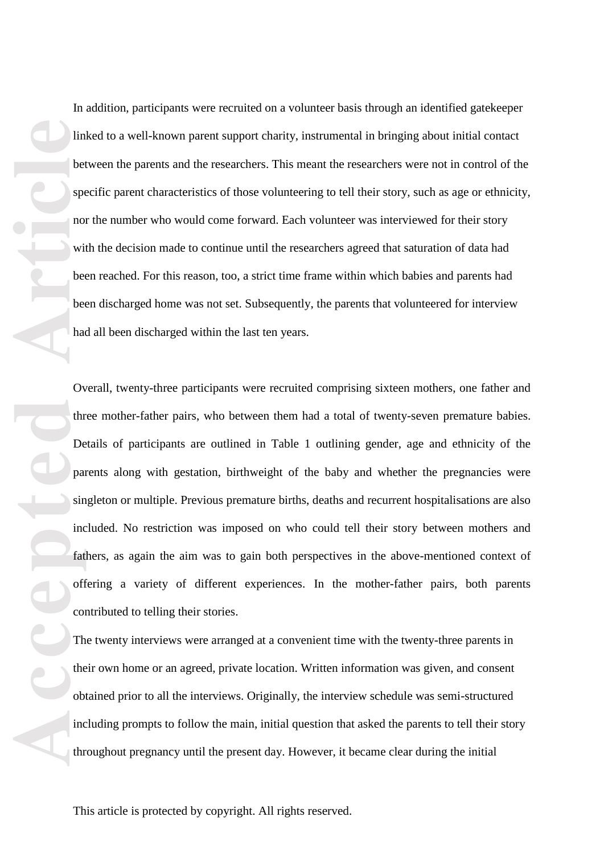In addition, participants were recruited on a volunteer basis through an identified gatekeeper linked to a well-known parent support charity, instrumental in bringing about initial contact between the parents and the researchers. This meant the researchers were not in control of the specific parent characteristics of those volunteering to tell their story, such as age or ethnicity, nor the number who would come forward. Each volunteer was interviewed for their story with the decision made to continue until the researchers agreed that saturation of data had been reached. For this reason, too, a strict time frame within which babies and parents had been discharged home was not set. Subsequently, the parents that volunteered for interview had all been discharged within the last ten years.

**Accepted Articles** <br> **Accepted Articles Constructed Articles Constructed Articles Constructed Articles Constructed Articles Constructed Articles Constructed Articles Constructed Articles Constructed Ar** Overall, twenty-three participants were recruited comprising sixteen mothers, one father and three mother-father pairs, who between them had a total of twenty-seven premature babies. Details of participants are outlined in Table 1 outlining gender, age and ethnicity of the parents along with gestation, birthweight of the baby and whether the pregnancies were singleton or multiple. Previous premature births, deaths and recurrent hospitalisations are also included. No restriction was imposed on who could tell their story between mothers and fathers, as again the aim was to gain both perspectives in the above-mentioned context of offering a variety of different experiences. In the mother-father pairs, both parents contributed to telling their stories.

The twenty interviews were arranged at a convenient time with the twenty-three parents in their own home or an agreed, private location. Written information was given, and consent obtained prior to all the interviews. Originally, the interview schedule was semi-structured including prompts to follow the main, initial question that asked the parents to tell their story throughout pregnancy until the present day. However, it became clear during the initial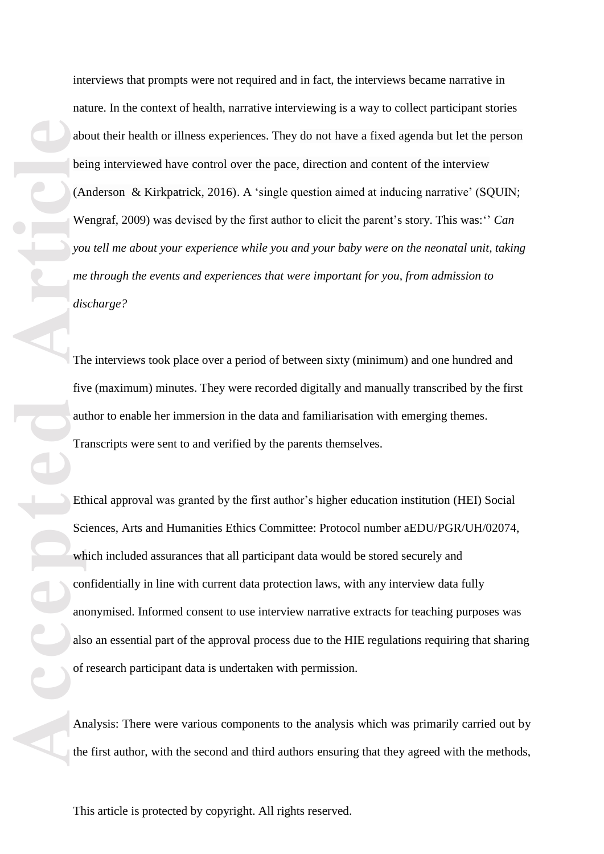abe be <br>
be <br>
(A<br>
you me dis<br>
you me dis<br>
The six The Sc<br>
where the conduct of Article<br>
of Article interviews that prompts were not required and in fact, the interviews became narrative in nature. In the context of health, narrative interviewing is a way to collect participant stories about their health or illness experiences. They do not have a fixed agenda but let the person being interviewed have control over the pace, direction and content of the interview (Anderson & Kirkpatrick, 2016). A 'single question aimed at inducing narrative' (SQUIN; Wengraf, 2009) was devised by the first author to elicit the parent's story. This was:'' *Can you tell me about your experience while you and your baby were on the neonatal unit, taking me through the events and experiences that were important for you, from admission to discharge?* 

The interviews took place over a period of between sixty (minimum) and one hundred and five (maximum) minutes. They were recorded digitally and manually transcribed by the first author to enable her immersion in the data and familiarisation with emerging themes. Transcripts were sent to and verified by the parents themselves.

Ethical approval was granted by the first author's higher education institution (HEI) Social Sciences, Arts and Humanities Ethics Committee: Protocol number aEDU/PGR/UH/02074, which included assurances that all participant data would be stored securely and confidentially in line with current data protection laws, with any interview data fully anonymised. Informed consent to use interview narrative extracts for teaching purposes was also an essential part of the approval process due to the HIE regulations requiring that sharing of research participant data is undertaken with permission.

Analysis: There were various components to the analysis which was primarily carried out by the first author, with the second and third author s ensuring that they agreed with the methods,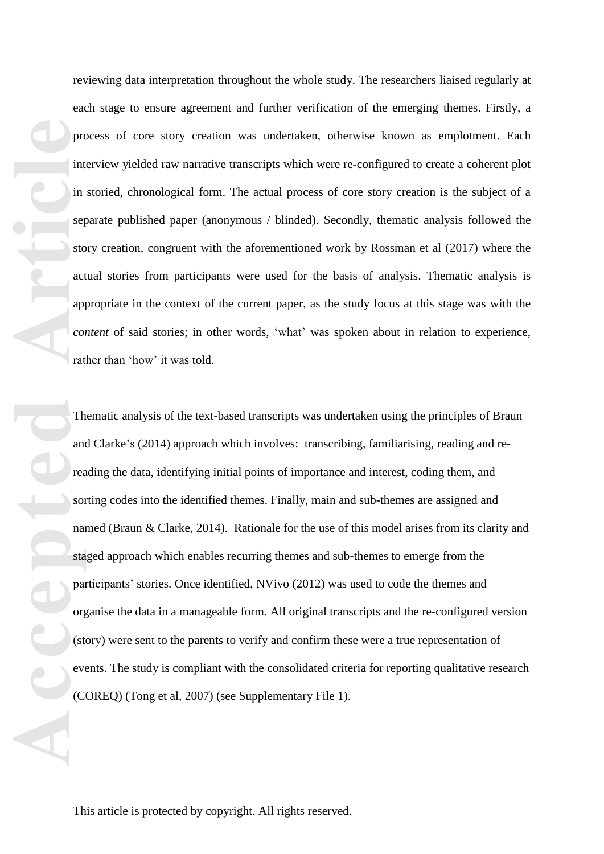reviewing data interpretation throughout the whole study. The researchers liaised regularly at each stage to ensure agreement and further verification of the emerging themes. Firstly, a process of core story creation was undertaken, otherwise known as emplotment. Each interview yielded raw narrative transcripts which were re -configured to create a coherent plot in storied, chronological form. The actual process of core story creation is the subject of a separate published paper (anonymous / blinded ). Secondly, thematic analysis followed the story creation, congruent with the aforementioned work by Rossman et al (2017) where the actual stories from participants were used for the basis of analysis . Thematic analysis is appropriate in the context of the current paper, as the study focus at this stage was with the *content* of said stories; in other words, 'what' was spoken about in relation to experience, rather than 'how' it was told.

**Accepted Articles II Articles III Articles III Articles III Articles III Articles III Articles III Articles III Articles III Articles III Articles III Articles II Articles II Articles II Arti** Thematic analysis of the text -based transcripts was undertaken using the principles of Braun and Clarke's (2014) approach which involves: transcribing, familiarising, reading and re reading the data, identifying initial points of importance and interest, coding them, and sorting codes into the identified themes. Finally, main and sub-themes are assigned and named (Braun & Clarke, 2014). Rationale for the use of this model arises from its clarity and staged approach which enables recurring themes and sub -themes to emerge from the participants' stories . Once identified, NVivo (2012) was used to code the themes and organise the data in a manageable form. All original transcripts and the re -configured version (story) were sent to the parents to verify and confirm these were a true representation of events. The study is compliant with the consolidated criteria for reporting qualitative research (COREQ) (Tong et al, 2007 ) (see Supplementary File 1).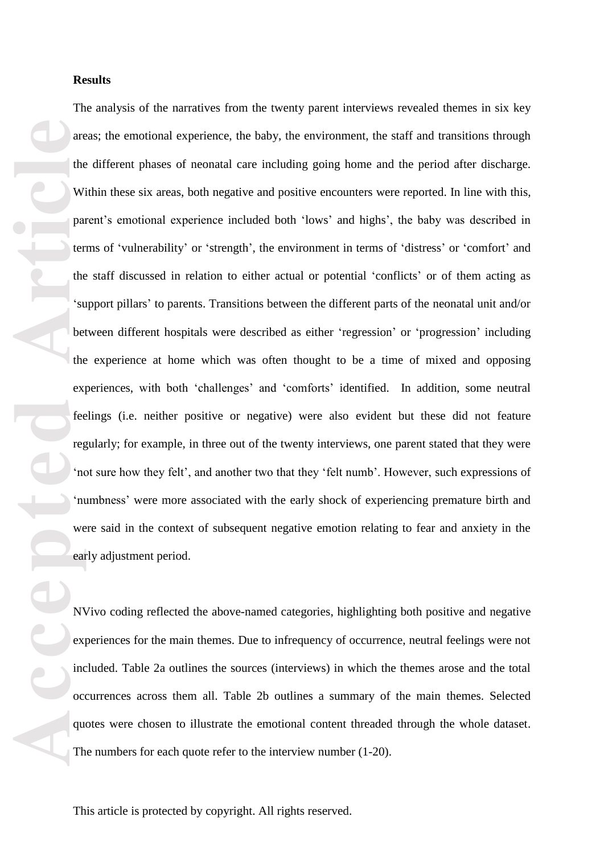## **Result s**

articles and the second of the second the second the second the second the second the second the second the second the second the second the second the second the second the second the second the second the second the seco The analysis of the narratives from the twenty parent interviews revealed themes in six key areas; the emotional experience, the baby, the environment, the staff and transitions through the different phases of neonatal care including going home and the period after discharge. Within these six areas, both negative and positive encounters were reported. In line with this, parent's emotional experience included both 'lows' and highs', the baby was described in terms of 'vulnerability' or 'strength', the environment in terms of 'distress' or 'comfort' and the staff discussed in relation to either actual or potential 'conflicts ' or of them acting as 'support pillars ' to parents. Transitions between the different parts of the neonatal unit and/or between different hospitals were described as either 'regression' or 'progression' including the experience at home which was often thought to be a time of mixed and opposing experiences, with both 'challenges' and 'comforts' identified . In addition, some neutral feelings (i.e. neither positive or negative) were also evident but these did not feature regularly; for example, in three out of the twenty interviews, one parent stated that they were 'not sure how they felt', and another two that they 'felt numb'. However, such expressions of 'numbness' were more associated with the early shock of experiencing premature birth and were said in the context of subsequent negative emotion relating to fear and anxiety in the early adjustment period.

NVivo coding reflected the above -named categories , highlighting both positive and negative experiences for the main themes. Due to infrequency of occurrence, neutral feelings were not included. Table 2 a outlines the sources (interviews) in which the themes arose and the total occurrences across them all. Table 2b outlines a summary of the main themes. Selected quotes were chosen to illustrate the emotional content threaded through the whole dataset. The numbers for each quote refer to the interview number  $(1-20)$ .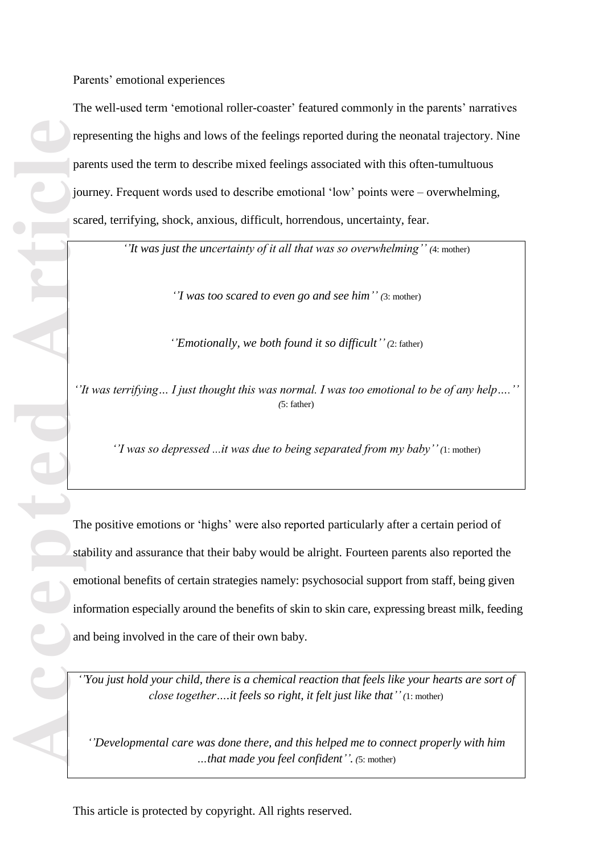Parents' emotional experiences

The well -used term 'emotional roller -coaster ' feature d commonly in the parents' narratives representing the highs and lows of the feelings reported during the neonatal trajectory. Nine parents used the term to describe mixed feeling s associated with this often -tumultuous journey. Frequent words used to describe emotional 'low' points were – overwhelming, scared, terrifying, shock, anxious, difficult, horrendous, uncertainty, fear.

''It was just the uncertainty of it all that was so overwhelming'' (4: mother)

*''I was too scared to even go and see him '' (* 3: mother)

*''Emotionally, we both found it so difficult ' ' (*2: father)

*''It was terrifying… I just thought this was normal. I was too emotional to be of any help….'' (*5: father)

*''I was so depressed ...it was due to being separated from my baby' ' (*1: mother)

**Accepted Articles Contains and the contact of the pair of the pair of the pair of the pair of the pair of the pair of the pair of the pair of the pair of the pair of the pair of the pair of the pair of the pair of the p** The positive emotions or 'highs' were also reported particularly after a certain period of stability and assurance that their baby would be alright. Fourteen parents also reported the emotional benefits of certain strategies namely: psychosocial support from staff, being given information especially around the benefits of skin to skin care, expressing breast milk, feeding and being involved in the care of their own baby .

*'' You just hold your child, there is a chemical reaction that feels like your hearts are sort of close together….it feels so right, it felt just like that ' ' (*1: mother)

*''Developmental care was done there, and this helped me to connect properly with him …that made you feel confident''. (*5: mother)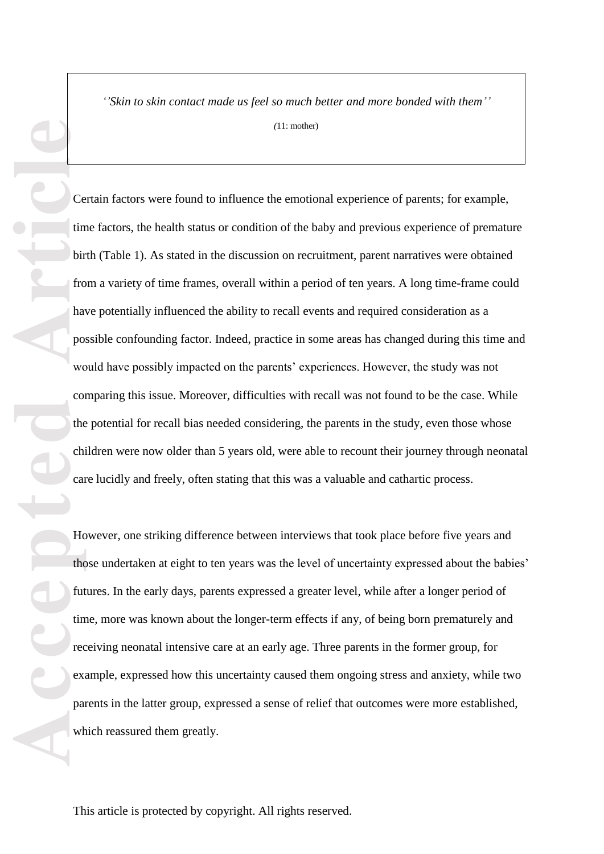*''Skin to skin contact made us feel so much better and more bonded with them''*

*(*11: mother)

**Example 19**<br> **Article**<br> **Article**<br> **Article**<br> **Article**<br> **Article**<br> **Article**<br> **Article**<br> **Article**<br> **Article**<br> **Article**<br> **Article**<br> **Article**<br> **Article**<br> **Article**<br> **Article**<br> **Article**<br> **Article**<br> **Article**<br> **Article**<br> Certain factors were found to influence the emotional experience of parents; for example, time factors, the health status or condition of the baby and previous experience of premature birth (Table 1). As stated in the discussion on recruitment, parent narratives were obtained from a variety of time frames, overall within a period of ten years. A long time-frame could have potentially influenced the ability to recall events and required consideration as a possible confounding factor. Indeed, practice in some areas has changed during this time and would have possibly impacted on the parents' experiences. However, the study was not comparing this issue. Moreover, difficulties with recall was not found to be the case. While the potential for recall bias needed considering, the parents in the study, even those whose children were now older than 5 years old, were able to recount their journey through neonatal care lucidly and freely, often stating that this was a valuable and cathartic process.

However, one striking difference between interviews that took place before five years and those undertaken at eight to ten years was the level of uncertainty expressed about the babies' futures. In the early days, parents expressed a greater level, while after a longer period of time, more was known about the longer-term effects if any, of being born prematurely and receiving neonatal intensive care at an early age. Three parents in the former group, for example, expressed how this uncertainty caused them ongoing stress and anxiety, while two parents in the latter group, expressed a sense of relief that outcomes were more established, which reassured them greatly.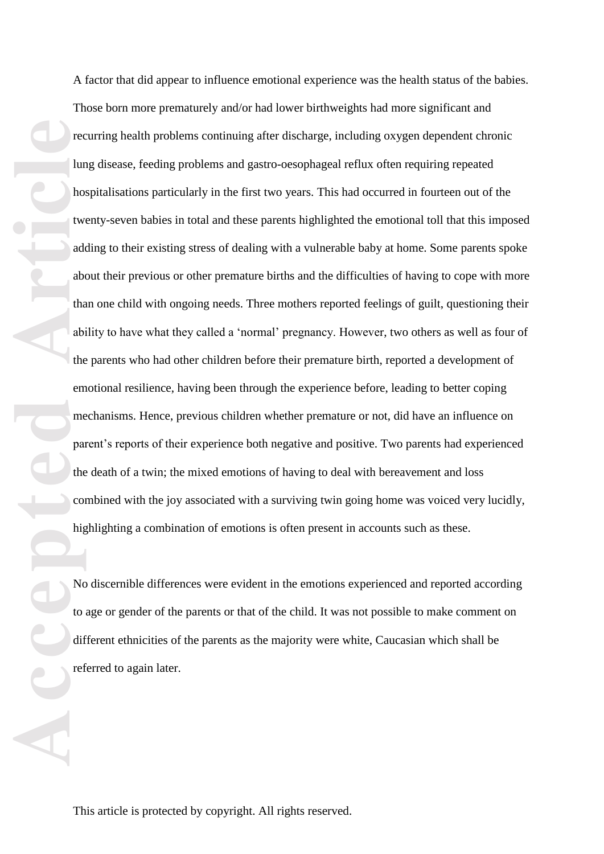**Processed by the contract of the contract of the contract of the contract of the contract of the contract of the contract of the contract of the contract of the contract of the contract of the contract of the contract of** A factor that did appear to influence emotional experience was the health status of the babies. Those born more prematurely and/or had lower birthweights had more significant and recurring health problems continuing after discharge, including oxygen dependent chronic lung disease, feeding problems and gastro -oesophageal reflux often requiring repeated hospitalisations particularly in the first two years. This had occurred in fourteen out of the twenty -seven babies in total and these parents highlighted the emotional toll that this imposed adding to their existing stress of dealing with a vulnerable baby at home. Some parents spoke about their previous or other premature births and the difficulties of having to cope with more than one child with ongoing needs. Three mothers reported feelings of guilt, questioning their ability to have what they called a 'normal' pregnancy. However , two others as well as four of the parents who had other children before their premature birth, reported a development of emotional resilience, having been through the experience before, leading to better coping mechanisms. Hence, previous children whether premature or not, did have an influence on parent's reports of their experience both negative and positive. Two parents had experienced the death of a twin; the mixed emotions of having to deal with bereavement and loss combined with the joy associated with a surviving twin going home was voiced very lucidly, highlighting a combinatio n of emotions is often present in accounts such as these.

No discernible differences were evident in the emotions experienced and reported according to age or gender of the parents or that of the child. It was not possible to make comment on different ethnicities of the parents as the majority were white, Caucasian which shall be referred to again later.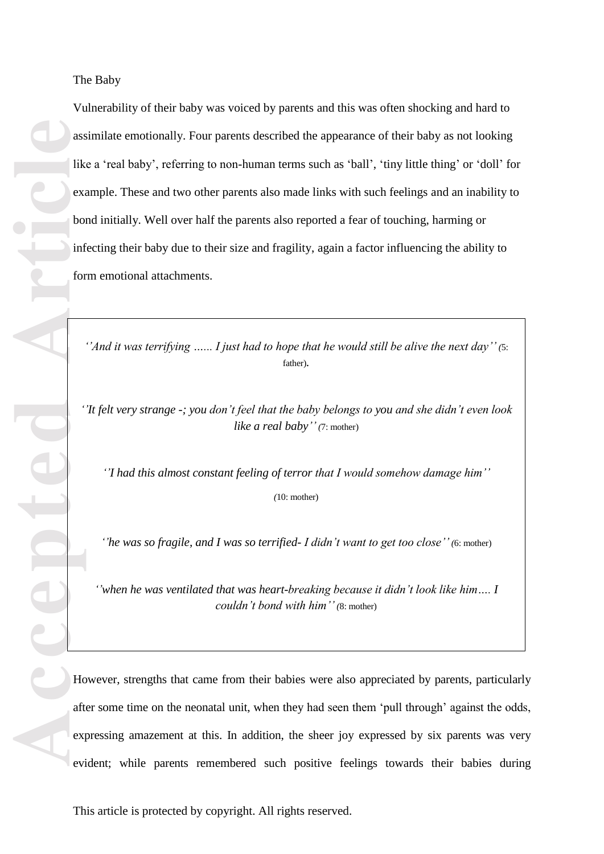**Accepted Accepted Articles Articles Articles Articles Articles Articles Articles Articles Articles Articles Articles Articles Articles Articles Articles Articles Articles Articles A** Vulnerability of their baby was voiced by parents and this was often shocking and hard to assimilate emotionally. Four parents described the appearance of their baby as not looking like a 'real baby', referring to non-human terms such as 'ball', 'tiny little thing' or 'doll' for example. These and two other parents also made links with such feelings and an inability to bond initially. Well over half the parents also reported a fear of touching, harming or infecting their baby due to their size and fragility, again a factor influencing the ability to form emotional attachments .

*''And it was terrifying …... I just had to hope that he would still be alive the next day' ' (*5: father) *.*

*''It felt very strange -; you don't feel that the baby belongs to you and she didn't even look like a real baby ' ' (*7: mother)

*''I had this almost constant feeling of terror that I would somehow damage him'' (*10: mother)

*''he was so fragile, and I was so terrified - I didn't want to get too close ' ' (*6: mother)

*''when he was ventilated that was heart -breaking because it didn't look like him…. I couldn't bond with him ' ' (*8: mother)

However, strengths that came from their babies were also appreciated by parents, particularly after some time on the neonatal unit, when they had seen them 'pull through' against the odds, expressing amazement at this. In addition, the sheer joy expressed by six parents was very evident; while parents remembered such positive feeling s towards their babies during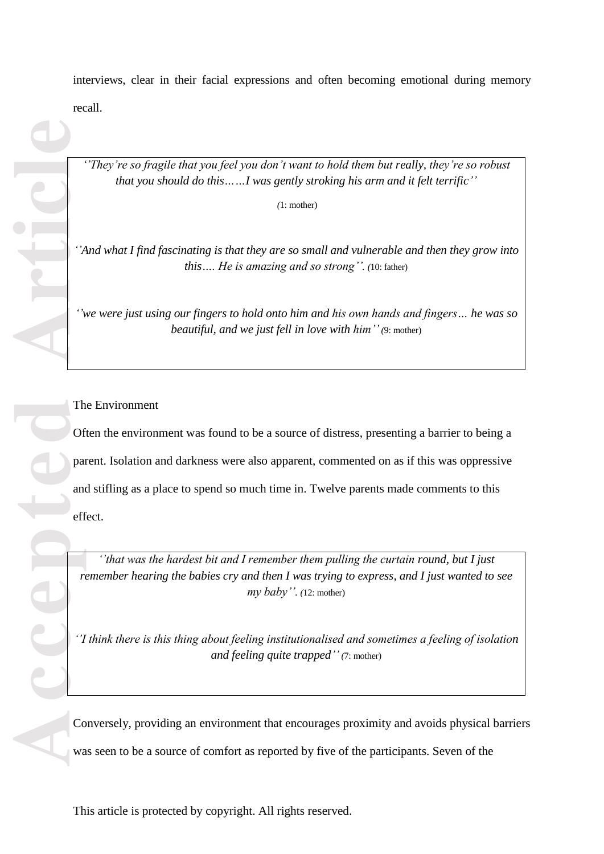interviews, clear in their facial expressions and often becoming emotional during memory recall.

*''They're so fragile that you feel you don't want to hold them but really, they're so robust that you should do this……I was gently stroking his arm and it felt terrific''*

*(*1: mother)

*''And what I find fascinating is that they are so small and vulnerable and then they grow into this…. He is amazing and so strong''. (*10: father)

*''we were just using our fingers to hold onto him and his own hands and fingers… he was so beautiful, and we just fell in love with him' ' (*9: mother)

The Environment

Often the environment was found to be a source of distress, presenting a barrier to being a parent. Isolation and darkness were also apparent, commented on as if this was oppressive and stifling as a place to spend so much time in. Twelve parents made comments to this effect.

*''that was the hardest bit and I remember them pulling the curtain round, but I just remember hearing the babies cry and then I was trying to express , and I just wanted to see my baby''. (*12: mother)

*''I think there is this thing about feeling institutionalised and sometimes a feeling of isolation and feeling quite trapped ' ' (*7: mother)

Conversely, providing an environment that encourages proximity and avoids physical barriers was seen to be a source of comfort as reported by five of the participants. Seven of the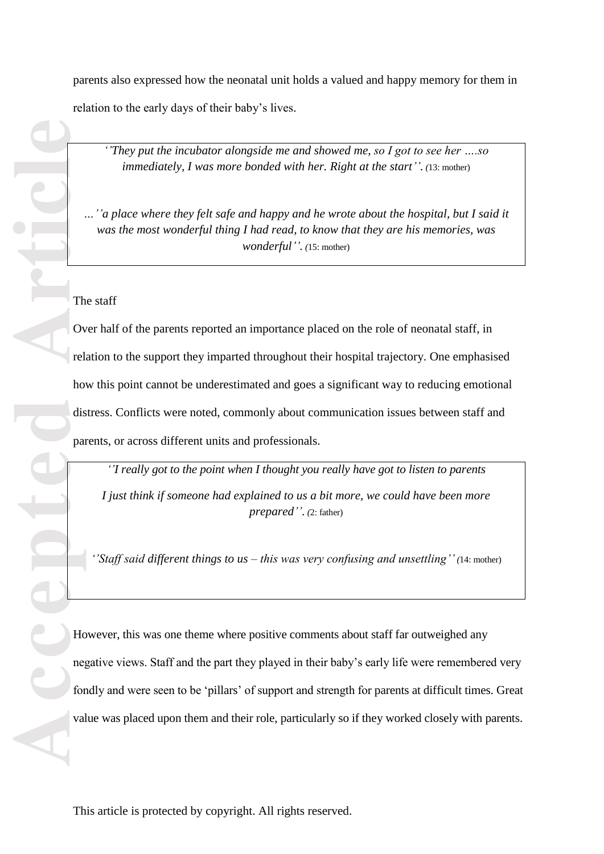parents also expressed how the neonatal unit holds a valued and happy memory for them in relation to the early days of their baby's lives.

*''They put the incubator alongside me and showed me, so I got to see her ….so immediately, I was more bonded with her. Right at the start'' . (*13: mother)

*…''a place where they felt safe and happy and he wrote about the hospital, but I said it was the most wonderful thing I had read, to know that they are his memories, was wonderful'' . (*15: mother)

## The staff

**Accepted Article**<br> **Article**<br> **Article**<br> **Article**<br> **Article**<br> **Article**<br> **Article**<br> **Article**<br> **Article**<br> **Article**<br> **Article**<br> **Article**<br> **Article**<br> **Article**<br> **Article**<br> **Article**<br> **Article** Over half of the parents reported an importance placed on the role of neonatal staff, in relation to the support they imparted throughout their hospital trajectory. One emphasised how this point cannot be underestimated and goes a significant way to reducing emotional distress. Conflicts were noted, commonly about communication issues between staff and parents, or across different units and professionals.

*''I really got to the point when I thought you really have got to listen to parents I just think if someone had explained to us a bit more, we could have been more prepared'' . (*2: father)

*''Staff said different things to us – this was very confusing and unsettling' ' (*14: mother)

However, this was one theme where positive comments about staff far outweighed any negative views. Staff and the part they played in their baby's early life were remembered very fondly and were seen to be 'pillars' of support and strength for parents at difficult times. Great value was placed upon them and their role, particularly so if they worked closely with parents.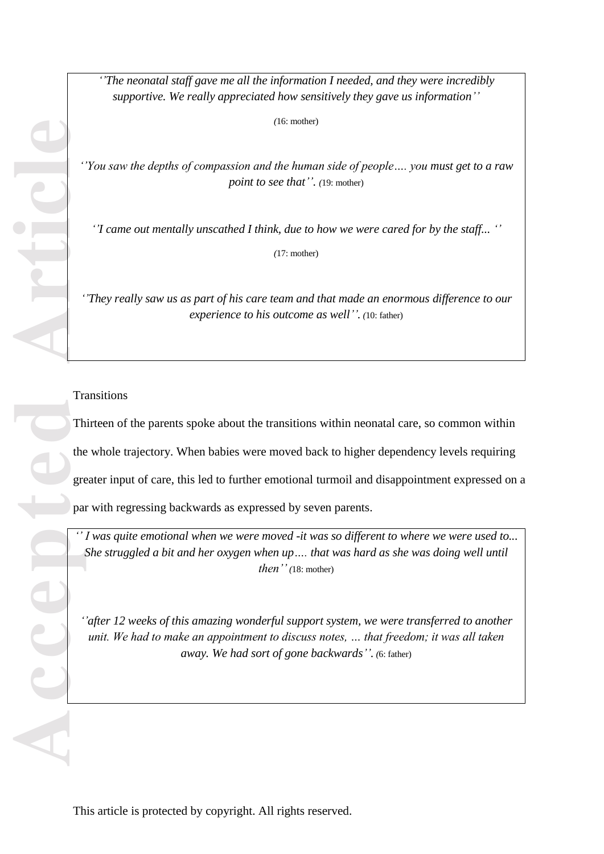*''The neonatal staff gave me all the information I needed, and they were incredibly supportive. We really appreciated how sensitively they gave us information''*

*(*16: mother)

*''You saw the depths of compassion and the human side of people…. you must get to a raw point to see that''.* (19: mother)

*''I came out mentally unscathed I think, due to how we were cared for by the staff... ''*

*(*17: mother)

*''They really saw us as part of his care team and that made an enormous difference to our experience to his outcome as well'' . (*10: father)

**Transitions** 

Accepted<sup>\*</sup>\*\* Thirteen of the parents spoke about the transitions within neonatal care, so common within the whole trajectory. When babies were moved back to higher dependency levels requiring greater input of care, this led to further emotional turmoil and disappointment expressed on a par with regressing backwards as expressed by seven parents.

*'' I was quite emotional when we were moved -it was so different to where we were used to... She struggled a bit and her oxygen when up…. that was hard as she was doing well until then' ' (*18: mother)

*''after 12 weeks of this amazing wonderful support system, we were transferred to another unit. We had to make an appointment to discuss notes, … that freedom; it was all taken away. We had sort of gone backwards'' . (*6: father)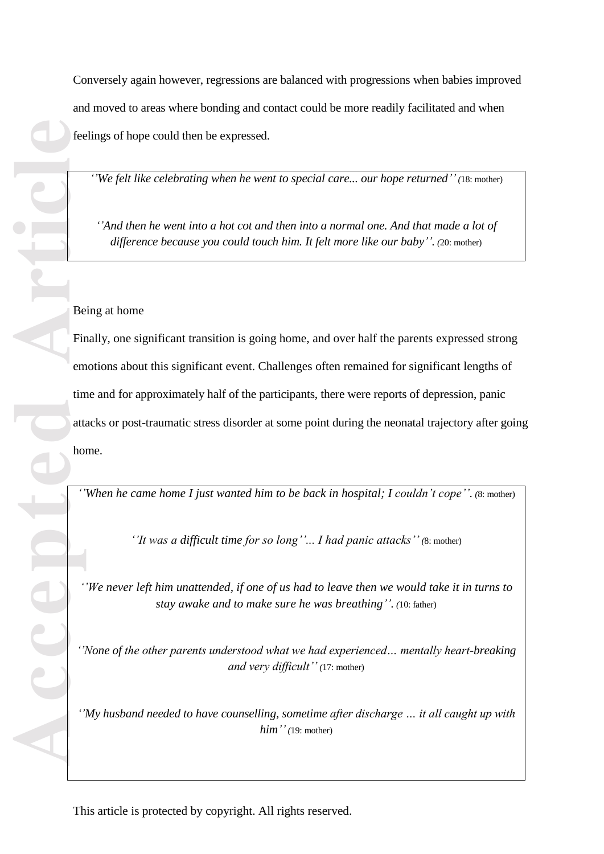Conversely again however, regressions are balanced with progressions when babies improved and moved to areas where bonding and contact could be more readily facilitated and when feelings of hope could then be expressed.

*''We felt like celebrating when he went to special care... our hope returned ' ' (*18: mother)

*''And then he went into a hot cot and then into a normal one. And that made a lot of difference because you could touch him. It felt more like our baby'' . (*20: mother)

## Being at home

Finally, one significant transition is going home, and over half the parents expressed strong emotions about this significant event. Challenges often remained for significant lengths of time and for approximately half of the participants, there were reports of depression, panic attacks or post -traumatic stress disorder at some point during the neonatal trajectory after going home.

*'' When he came home I just wanted him to be back in hospital; I couldn't cope'' . (*8: mother)

*''It was a difficult time for so long''... I had panic attacks' ' (*8: mother)

*''We never left him unattended, if one of us had to leave then we would take it in turns to stay awake and to make sure he was breathing'' . (*10: father)

''None of the other parents understood what we had experienced... mentally heart-breaking *and very difficult' ' (*17: mother)

*''My husband needed to have counselling, sometime after discharge … it all caught up with him ' ' (*19: mother)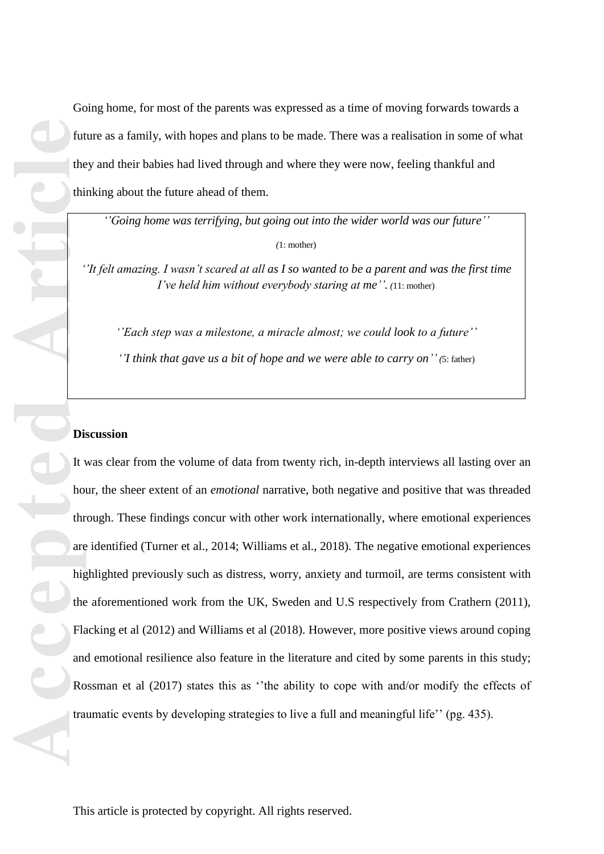Going home, for most of the parents was expressed as a time of moving forwards towards a future as a family, with hopes and plans to be made. There was a realisation in some of what they and their babies had lived through and where they were now, feeling thankful and thinking about the future ahead of them.

*''Going home was terrifying, but going out into the wider world was our future'' (*1: mother)

*''It felt amazing. I wasn't scared at all as I so wanted to be a parent and was the first time I've held him without everybody staring at me''. (*11: mother)

*''Each step was a milestone, a miracle almost; we could look to a future'' ''I think that gave us a bit of hope and we were able to carry on'' (*5: father)

# **Discussion**

It was clear from the volume of data from twenty rich, in-depth interviews all lasting over an hour, the sheer extent of an *emotional* narrative, both negative and positive that was threaded through. These findings concur with other work internationally, where emotional experiences are identified (Turner et al., 2014; Williams et al., 2018). The negative emotional experiences highlighted previously such as distress, worry, anxiety and turmoil, are terms consistent with the aforementioned work from the UK, Sweden and U.S respectively from Crathern (2011), Flacking et al (2012) and Williams et al (2018). However, more positive views around coping and emotional resilience also feature in the literature and cited by some parents in this study; Rossman et al (2017) states this as ''the ability to cope with and/or modify the effects of traumatic events by developing strategies to live a full and meaningful life'' (pg. 435).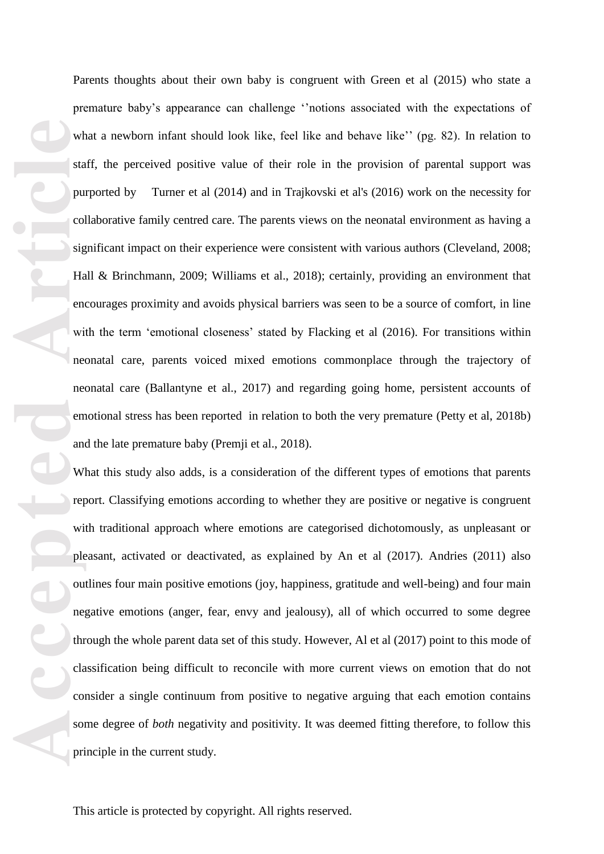We sta<br> **Accepted Article**<br>
Article<br>
Article<br>
Article<br>
Article<br>
Article<br>
Article<br>
Article<br>
Article<br>
Article<br>
Article<br>
Article<br>
Article<br>
Article<br>
Article<br>
Article<br>
Article<br>
Article<br>
Article<br>
Article<br>
Article<br>
Article<br>
Art Parents thoughts about their own baby is congruent with Green et al (2015) who state a premature baby's appearance can challenge ''notions associated with the expectations of what a newborn infant should look like, feel like and behave like'' (pg. 82). In relation to staff, the perceived positive value of their role in the provision of parental support was purported by (2014) and in Trajkovski et al's (2016) work on the necessity for collaborative family centred care. The parents views on the neonatal environment as having a significant impact on their experience were consistent with various authors (Cleveland, 2008; Hall & Brinchmann, 2009; Williams et al., 2018); certainly, providing an environment that encourages proximity and avoids physical barriers was seen to be a source of comfort, in line with the term 'emotional closeness' stated by Flacking et al (2016). For transitions within neonatal care, parents voiced mixed emotions commonplace through the trajectory of neonatal care (Ballantyne et al., 2017) and regarding going home, persistent accounts of emotional stress has been reported in relation to both the very premature (Petty et al, 2018b) and the late premature baby (Premji et al., 2018) .

What this study also adds , is a consideration of the different types of emotions that parents report. Classifying emotions according to whether they are positive or negative is congruent with traditional approach where emotions are categorised dichotomously, as unpleasant or pleasant, activated or deactivated, as explained by An et al (2017). Andries (2011) also outlines four main positive emotions (joy, happiness, gratitude and well -being) and four main negative emotions (anger, fear, envy and jealousy), all of which occurred to some degree through the whole parent data set of this study. However, Al et al (2017) point to this mode of classification being difficult to reconcile with more current views on emotion that do not consider a single continuum from positive to negative arguing that each emotion contains some degree of *both* negativity and positivity. It was deemed fitting therefore, to follow this principle in the current study.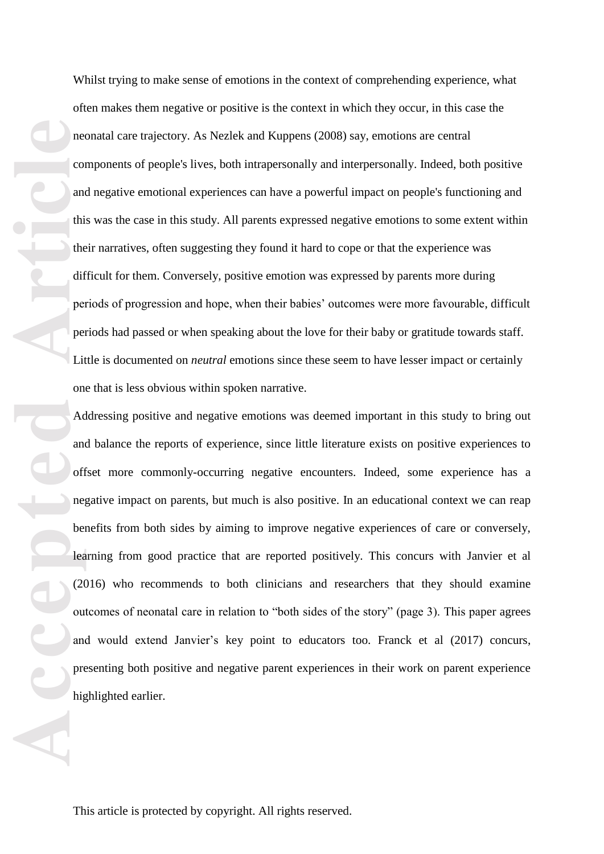Whilst trying to make sense of emotions in the context of comprehending experience, what often makes them negative or positive is the context in which they occur, in this case the neonatal care trajectory. As Nezlek and Kuppens (2008) say, emotions are central components of people's lives, both intrapersonally and interpersonally. Indeed, both positive and negative emotional experiences can have a powerful impact on people's functioning and this was the case in this study. All parents expressed negative emotions to some extent within their narratives, often suggesting they found it hard to cope or that the experience was difficult for them. Conversely, positive emotion was expressed by parents more during periods of progression and hope, when their babies' outcomes were more favourable , difficult periods had passed or when speaking about the love for their baby or gratitude towards staff. Little is documented on *neutral* emotions since these seem to have lesser impact or certainly one that is less obvious within spoken narrative.

**Accepted Accepted Article**<br> **Accepted Article**<br> **Accepted Accepted Accepted Accepted Accepted Accepted Accepted Accepted Accepted Accepted Accepted Accepted Accepted Accepted Accepted A** Addressing positive and negative emotions was deemed important in this study to bring out and balance the reports of experience , since little literature exists on positive experiences to offset more commonly -occurring negative encounters. Indeed, some experience has a negative impact on parents, but much is also positive. In an educational context we can reap benefits from both sides by aiming to improve negative experiences of care or conversely, learning from good practice that are reported positively. This concurs with Janvier et al (2016) who recommends to both clinicians and researchers that they should examine outcomes of neonatal care in relation to "both sides of the story" (page 3). This paper agrees and would extend Janvier's key point to educators too. Franck et al (2017) concurs, presenting both positive and negative parent experiences in their work on parent experience highlighted earlier.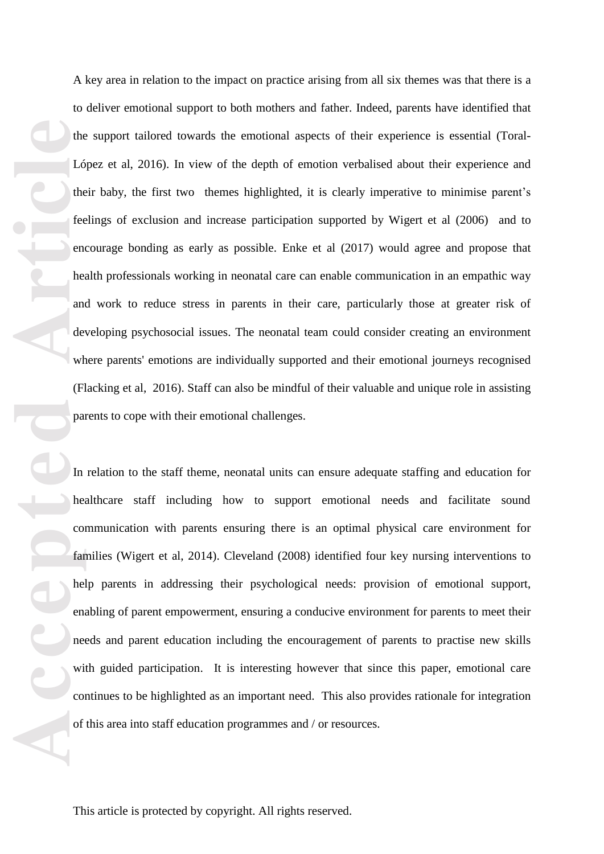A key area in relation to the impact on practice arising from all six themes was that there is an deliver emotional support to both mothers and father. Indeed, parents have denirfied that support to local mothers are dent to deliver emotional support to both mothers and father. Indeed, parents have identified that the support tailored towards the emotional aspects of their experience is essential (Toral - López et al, 2016). In view of the depth of emotion verbalised about their experience and their baby, the first two themes highlighted, it is clearly imperative to minimise parent's feelings of exclusion and increase participation supported by Wigert et al (2006) and to encourage bo nding as early as possible. Enke et al (2017) would agree and propose that health professionals working in neonatal care can enable communication in an empathic way and work to reduce stress in parents in their care, particularly those at greater risk of developing psychosocial issues. The neonatal team could consider creating an environment where parents' emotions are individually supported and their emotional journeys recognised (Flacking et al, 2016). Staff can also be mindful of their valuable and unique role in assisting parents to cope with their emotional challenges .

**Accepted Article** In relation to the staff theme, neonatal units can ensure adequate staffing and education for healthcare staff including how to support emotional needs and facilitate sound communication with parents ensuring there is an optimal physical care environment for families (Wigert et al, 2014). Cleveland (2008) identified four key nursing interventions to help parents in addressing their psychological needs: provision of emotional support, enabling of parent empowerment, ensuring a conducive environment for parents to meet their needs and parent education including the encouragement of parents to practise new skills with guided participation . It is interesting however that since this paper, emotional care continues to be highlighted as an important need. This also provides rationale for integration of this area into staff education programme s and / or resources.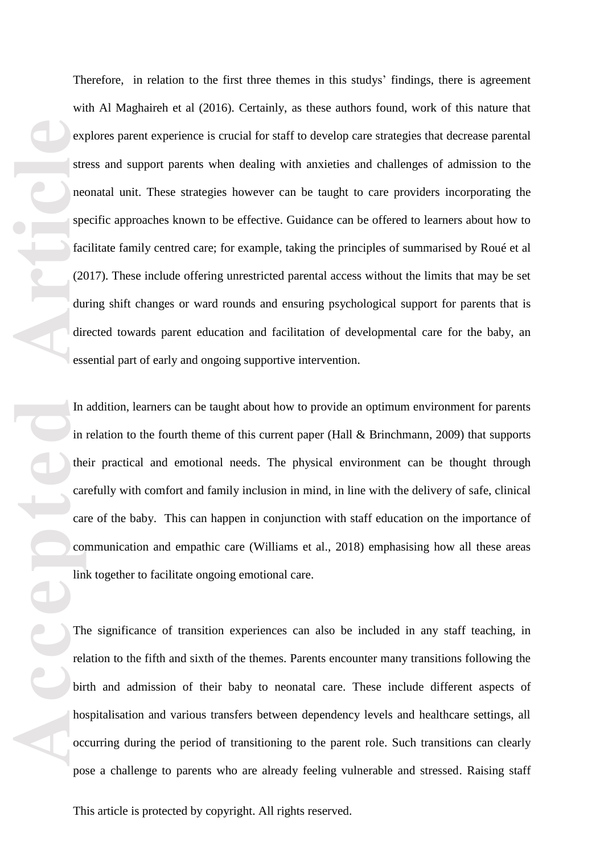expected and the care of the care of the care of the care of the care of the care of the care of the care of the care of the care of the care of the care of the care of the care of the care of the care of the care of the c Therefore, in relation to the first three themes in this studys' findings, there is agreement with Al Maghaireh et al (2016). Certainly, as these authors found, work of this nature that explores parent experience is crucial for staff to develop care strategies that decrease parental stress and support parents when dealing with anxieties and challenges of admission to the neonatal unit. These strategies however can be taught to care providers incorporating the specific approaches known to be effective . Guidance can be offered to learners about how to facilitate family centred care; for example, taking the principles of summarised by Roué et al (2017). These include offering unrestricted parental access without the limits that may be set during shift changes or ward rounds and ensuring psychological support for parents that is directed towards parent education and facilitation of developmental care for the baby, an essential part of early and ongoing supportive intervention.

In addition, learners can be taught about how to provide an optimum environment for parents in relation to the fourth theme of this current paper (Hall & Brinchmann, 2009) that supports their practical and emotional needs. The physical environment can be thought through carefully with comfort and family inclusion in mind , in line with the delivery of safe, clinical care of the baby. This can happen in conjunction with staff education on the importance of communication and empathic care (Williams et al., 2018) emphasising how all these areas link together to facilitate ongoing emotional care.

The significance of transition experiences can also be included in any staff teaching, in relation to the fifth and sixth of the themes . Parents encounter many transitions following the birth and admission of their baby to neonatal care. These include different aspects of hospitalisation and various transfers between dependency levels and healthcare settings, all occurring during the period of transitioning to the parent role. Such transitions can clearly pose a challenge to parents who are already feeling vulnerable and stressed. Raising staff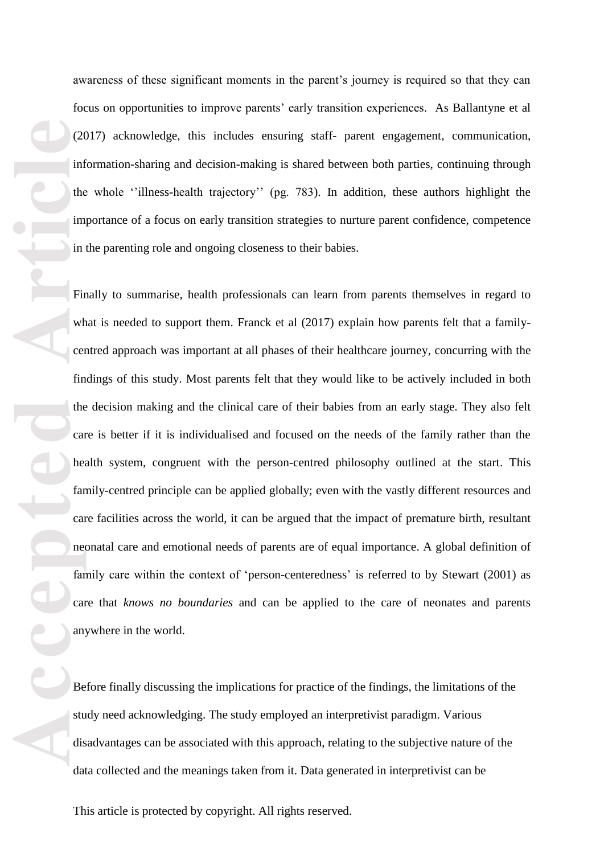awareness of these significant moments in the parent's journey is required so that they can focus on opportunities to improve parents' early transition experiences. As Ballantyne et al (2017) acknowledge, this include s ensuring staff- parent engagement, communication, information -sharing and decision -making is shared between both parties, continuing t hrough the whole ''illness -health trajectory'' (pg. 783 ). In addition, these authors highlight the importance of a focus on early transition strategies to nurture parent confidence, competence in the parenting role and ongoing closeness to their babies.

accepted and the care of the care of the care of the care of the care of the care of the care of the care of the care of the care of the care of the care of the care of the care of the care of the care of the care of the c Finally to summarise, health professionals can learn from parents themselves in regard to what is needed to support them. Franck et al (2017) explain how parents felt that a familycentred approach was important at all phases of their healthcare journey, concurring with the findings of this study . Most parents felt that they would like to be actively included in both the decision making and the clinical care of their babies from an early stage. They also felt care is better if it is individuali sed and focused on the needs of the family rather than the health system, congruent with the person -centred philosophy outlined at the start . This family -centred principle can be applied globally; even with the vastly different resources and care facilities across the world, it can be argue d that the impact of premature birth, resultant neonatal care and emotional needs of parents are of equal importance. A global definition of family care within the context of 'person-centeredness' is referred to by Stewart (2001) as care that *knows no boundaries* and can be applied to the care of neonates and parents anywhere in the world.

Before finally discussing the implications for practice of the findings, the limitations of the study need acknowledging . The study employed an interpretivist paradigm. Various disadvantages can be associated with this approach, relating to the subjective nature of the data collected and the meanings taken from it. Data generated in interpretivist can be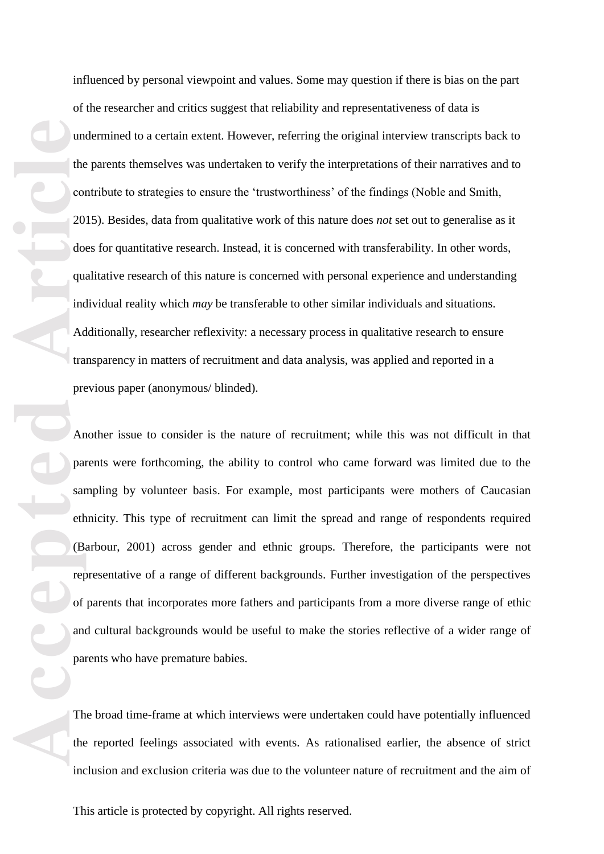influenced by personal viewpoint and values. Some may question if there is bias on the part of the researcher and critics suggest that reliability and representativeness of data is undermined to a certain extent. However, referring the original interview transcripts back to the parents themselves was undertaken to verify the interpretations of their narratives and to contribute to strategies to ensure the 'trustworthiness' of the findings (Noble and Smith, 2015). Besides, data from qualitative work of this nature does *not* set out to generalise as it does for quantitative research. Instead, it is concerned with transferability. In other words, qualitative research of this nature is concerned with personal experience and understanding individual reality which *may* be transferable to other similar individuals and situations. Additionally, researcher reflexivity: a necessary process in qualitative research to ensure transparency in matters of recruitment and data analysis, was applied and reported in a previous paper (anonymous/ blinded).

accepted and pair and pair and pair and pair and pair and pair and pair and pair and pair and pair and pair and pair and pair and pair and pair and pair and pair and pair and pair and pair and pair and pair and pair and pa Another issue to consider is the nature of recruitment; while this was not difficult in that parents were forthcoming, the ability to control who came forward was limited due to the sampling by volunteer basis. For example, most participants were mothers of Caucasian ethnicity. This type of recruitment can limit the spread and range of respondents required (Barbour, 2001) across gender and ethnic groups. Therefore, the participants were not representative of a range of different backgrounds. Further investigation of the perspectives of parents that incorporates more fathers and participants from a more diverse range of ethic and cultural backgrounds would be useful to make the stories reflective of a wider range of parents who have premature babies.<br>The broad time-frame at which interviews were undertaken could have potentially influenced

the reported feelings associated with events. As rationalised earlier, the absence of strict inclusion and exclusion criteria was due to the volunteer nature of recruitment and the aim of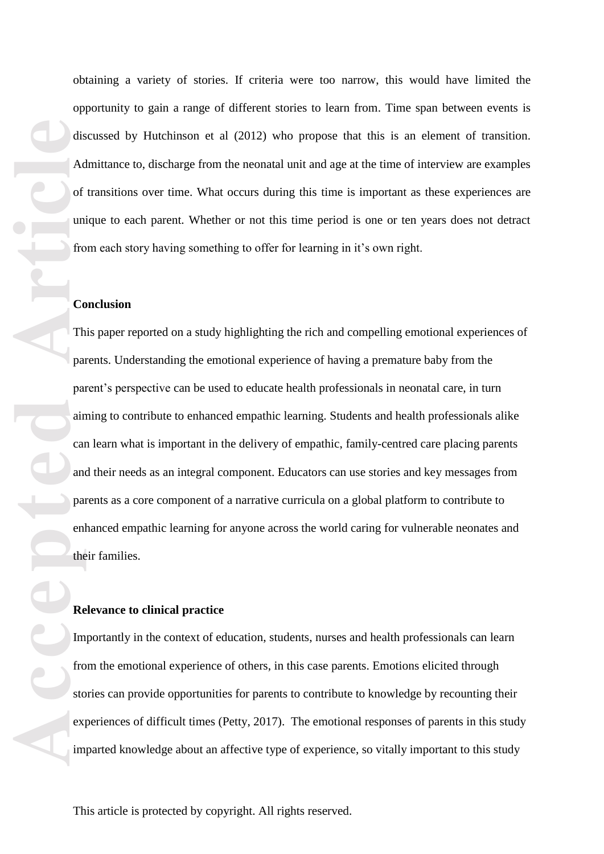dis Address dis Address dis Address dis Address dis Address discourse to the pay pay air can pay end the Re Im from store, when im the Re Im from store, when  $\mathbf{R}$  and  $\mathbf{R}$  and  $\mathbf{R}$  and  $\mathbf{R}$  and  $\mathbf{R}$  and

obtaining a variety of stories. If criteria were too narrow, this would have limited the opportunity to gain a range of different stories to learn from. Time span between events is discussed by Hutchinson et al (2012) who propose that this is an element of transition. Admittance to, discharge from the neonatal unit and age at the time of interview are examples of transitions over time. What occurs during this time is important as these experiences are unique to each parent. Whether or not this time period is one or ten years does not detract from each story having something to offer for learning in it's own right.

#### **Conclusion**

This paper reported on a study highlighting the rich and compelling emotional experiences of parents. Understanding the emotional experience of having a premature baby from the parent's perspective can be used to educate health professionals in neonatal care, in turn aiming to contribute to enhanced empathic learning. Students and health professionals alike can learn what is important in the delivery of empathic, family -centred care placing parents and their needs as an integral component. Educators can use stories and key messages from parents as a core component of a narrative curricula on a global platform to contribute to enhanced empathic learning for anyone across the world caring for vulnerable neonates and their families.

# **Relevance to clinical practice**

Importantly in the context of education, students, nurses and health professionals can learn from the emotional experience of others, in this case parents. Emotions elicited through stories can provide opportunities for parents to contribute to knowledge by recounting their experiences of difficult times (Petty, 2017 ). The emotional responses of parents in this study imparted knowledge about an affective type of experience, so vitally important to this study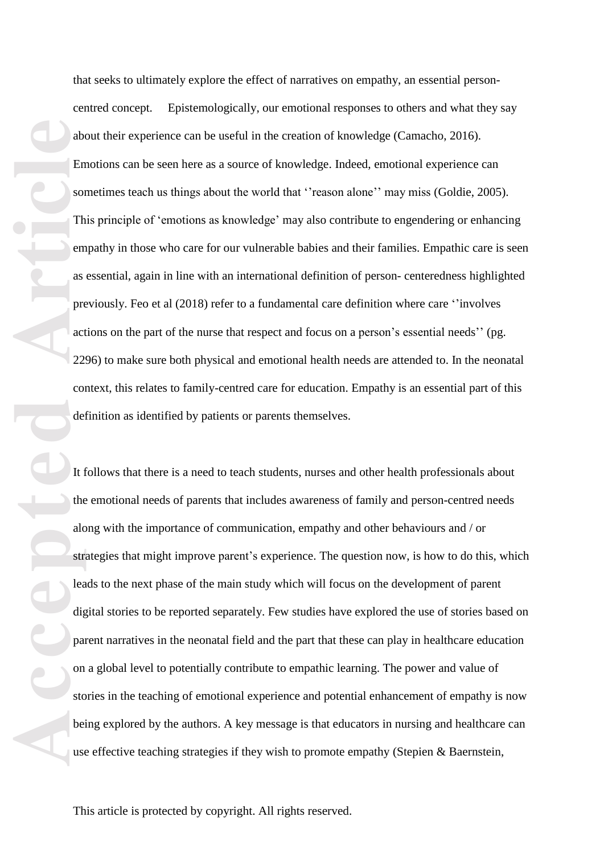that seeks to ultimately explore the effect of narratives on empathy, an essential person centred concept. Epistemologically, our emotional responses to others and what they say about their experience can be useful in the creation of knowledge (Camacho, 2016). Emotions can be seen here as a source of knowledge. Indeed, emotional experience can sometimes teach us things about the world that "reason alone" may miss (Goldie, 2005). This principle of 'emotion s as knowledge' may also contribute to engendering or enhancing empathy in those who care for our vulnerable babies and their families. Empathic care is seen as essential , again in line with an international definition of person - centeredness highlighted previously. Feo et al (2018) refer to a fundamental care definition where care ''involves actions on the part of the nurse that respect and focus on a person's essential needs'' (pg. 2296) to make sure both physical and emotional health needs are attended to. In the neonatal context, this relates to family -centred care for education. Empathy is an essential part of this definition as identified by patients or parents themselves. It follows that there is a need to teach students, nurses and other health professionals about

abce<br>
Brache Brache<br>
The emas<br>
articlea<br>
articlea<br>
dig particles<br>
on sto bei<br>
use<br>
the alco<br>
bei the emotional needs of parents that includes awareness of family and person -centred needs along with the importance of communication, empathy and other behaviours and / or strategies that might improve parent's experience. The question now, is how to do this , which leads to the next phase of the main study which will focus on the development of parent digital stories to be reported separately. Few studies have explored the use of stories based on parent narratives in the neonatal field and the part that these can play in healthcare education on a global level to potentially contribute to empathic learning. The power and value of stories in the teaching of emotional experience and potential enhancement of empathy is now being explored by the authors. A key message is that educators in nursing and healthcare can use effective teaching strategies if they wish to promote empathy (Stepien & Baernstein,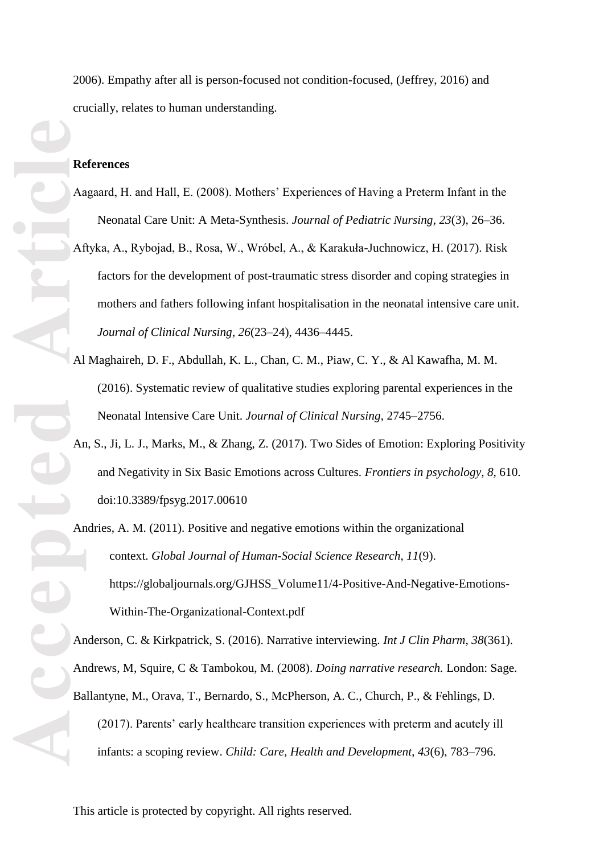2006). Empathy after all is person -focused not condition -focused, (Jeffrey, 2016) and crucially, relates to human understanding.

#### **References**

- Aagaard, H. and Hall, E. (2008). Mothers' Experiences of Having a Preterm Infant in the Neonatal Care Unit: A Meta -Synthesis. *Journal of Pediatric Nursing*, *23*(3), 26 –36.
- Aftyka, A., Rybojad, B., Rosa, W., Wróbel, A., & Karakuła -Juchnowicz, H. (2017). Risk factors for the development of post -traumatic stress disorder and coping strategies in mothers and fathers following infant hospitalisation in the neonatal intensive care unit. *Journal of Clinical Nursing*, *26*(23 –24), 4436 –4445.
- Al Maghaireh, D. F., Abdullah, K. L., Chan, C. M., Piaw, C. Y., & Al Kawafha, M. M. (2016). Systematic review of qualitative studies exploring parental experiences in the Neonatal Intensive Care Unit. *Journal of Clinical Nursing*, 2745 –2756.
- An, S., Ji, L. J., Marks, M., & Zhang, Z. (2017). Two Sides of Emotion: Exploring Positivity and Negativity in Six Basic Emotions across Cultures. *Frontiers in psychology* , *8*, 610. doi:10.3389/fpsyg.2017.00610
- **Accepted Accepted Article** Andries, A. M. (2011). Positive and negative emotions within the organizational context. *Global Journal of Human -Social Science Research* , *11*(9). https://globaljournals.org/GJHSS\_Volume11/4-Positive-And-Negative-Emotions-Within -The -Organizational -Context.pdf

Anderson, C. & Kirkpatrick, S. (2016). Narrative interviewing. *Int J Clin Pharm*, *38*(361). Andrews, M, Squire, C & Tambokou, M. (2008). *Doing narrative research.* London: Sage. Ballantyne, M., Orava, T., Bernardo, S., McPherson, A. C., Church, P., & Fehlings, D.

(2017). Parents' early healthcare transition experiences with preterm and acutely ill infants: a scoping review. *Child: Care, Health and Development*, *43*(6), 783 –796.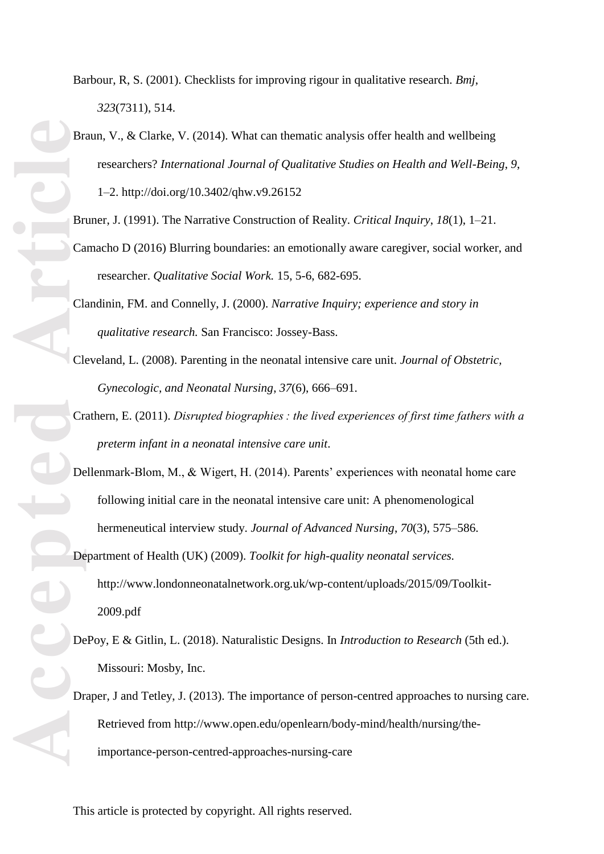- Barbour, R, S. (2001). Checklists for improving rigour in qualitative research. *Bmj*, *323*(7311), 514.
- Braun, V., & Clarke, V. (2014). What can thematic analysis offer health and wellbeing researchers? *International Journal of Qualitative Studies on Health and Well -Being*, *9*, 1 –2. http://doi.org/10.3402/qhw.v9.26152
- Bruner, J. (1991). The Narrative Construction of Reality. *Critical Inquiry*, *18*(1), 1 –21.
- Camacho D (2016) Blurring boundaries: an emotionally aware caregiver, social worker, and researcher. Qualitative Social Work. 15, 5-6, 682-695.
- Clandinin, FM. and Connelly, J. (2000). *Narrative Inquiry; experience and story in qualitative research.* San Francisco: Jossey -Bass.
- Cleveland, L. (2008). Parenting in the neonatal intensive care unit. *Journal of Obstetric, Gynecologic, and Neonatal Nursing*, *37*(6), 666 –691.
- Crathern, E. (2011). *Disrupted biographies : the lived experiences of first time fathers with a preterm infant in a neonatal intensive care unit* .
- Dellenmark -Blom, M., & Wigert, H. (2014). Parents' experiences with neonatal home care following initial care in the neonatal intensive care unit: A phenomenological hermeneutical interview study. *Journal of Advanced Nursing*, *70*(3), 575 –586.
- Department of Health (UK) (2009). *Toolkit for high -quality neonatal services.*  http://www.londonneonatalnetwork.org.uk/wp -content/uploads/2015/09/Toolkit - 2009.pdf
- DePoy, E & Gitlin, L. (2018). Naturalistic Designs. In *Introduction to Research* (5th ed.). Missouri: Mosby, Inc.
- **Article**<br> **Article**<br> **Article**<br> **Article**<br> **Article**<br> **Article**<br> **Article**<br> **Article**<br> **Article**<br> **Article**<br> **Article**<br> **Dre** Draper, J and Tetley, J. (2013). The importance of person -centred approaches to nursing care. Retrieved from http://www.open.edu/openlearn/body-mind/health/nursing/theimportance -person -centred -approaches -nursing -care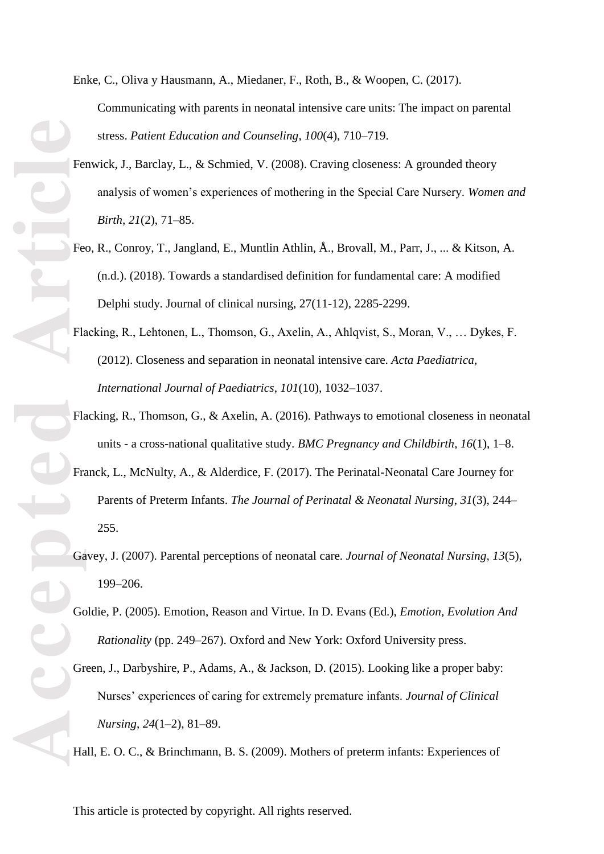- **Accepted Article**<br> **Article**<br> **Article**<br> **Article**<br> **Article**<br> **Article**<br> **Article**<br> **Article**<br> **Article**<br> **Article**<br> **Article**<br> **Article**<br> **Article**
- Enke, C., Oliva y Hausmann, A., Miedaner, F., Roth, B., & Woopen, C. (2017). Communicating with parents in neonatal intensive care units: The impact on parental stress. *Patient Education and Counseling*, *100*(4), 710 –719.
	- Fenwick, J., Barclay, L., & Schmied, V. (2008). Craving closeness: A grounded theory analysis of women's experiences of mothering in the Special Care Nursery. *Women and Birth*, *21*(2), 71 –85.
	- Feo, R., Conroy, T., Jangland, E., Muntlin Athlin, Å., Brovall, M., Parr, J., ... & Kitson, A. (n.d.). (2018). Towards a standardised definition for fundamental care: A modified Delphi study. Journal of clinical nursing, 27(11 -12), 2285 -2299.
	- Flacking, R., Lehtonen, L., Thomson, G., Axelin, A., Ahlqvist, S., Moran, V., … Dykes, F. (2012). Closeness and separation in neonatal intensive care. *Acta Paediatrica, International Journal of Paediatrics*, *101*(10), 1032 –1037.
	- Flacking, R., Thomson, G., & Axelin, A. (2016). Pathways to emotional closeness in neonatal units - a cross -national qualitative study. *BMC Pregnancy and Childbirth*, *16*(1), 1 –8.
	- Franck, L., McNulty, A., & Alderdice, F. (2017). The Perinatal-Neonatal Care Journey for Parents of Preterm Infants. *The Journal of Perinatal & Neonatal Nursing*, *31*(3), 244 – 255.
	- Gavey, J. (2007). Parental perceptions of neonatal care. *Journal of Neonatal Nursing*, *13*(5), 199 –206.
	- Goldie, P. (2005). Emotion, Reason and Virtue. In D. Evans (Ed.), *Emotion, Evolution And Rationality* (pp. 249 –267). Oxford and New York: Oxford University press.
	- Green, J., Darbyshire, P., Adams, A., & Jackson, D. (2015). Looking like a proper baby: Nurses' experiences of caring for extremely premature infants. *Journal of Clinical Nursing*, *24*(1 –2), 81 –89.
	- Hall, E. O. C., & Brinchmann, B. S. (2009). Mothers of preterm infants: Experiences of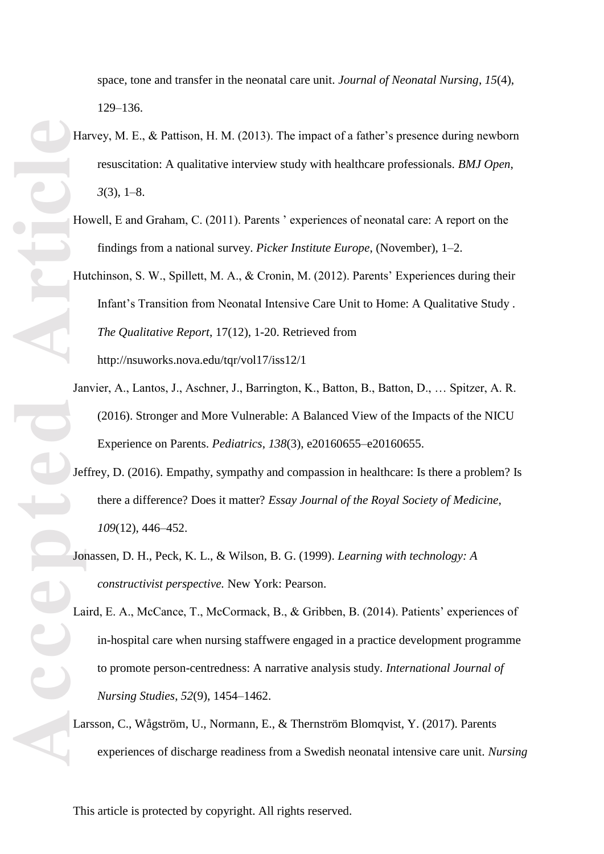space, tone and transfer in the neonatal care unit. *Journal of Neonatal Nursing*, *15*(4), 129 –136.

- Harvey, M. E., & Pattison, H. M. (2013). The impact of a father's presence during newborn resuscitation: A qualitative interview study with healthcare professionals. *BMJ Open*, *3*(3), 1–8.
- Howell, E and Graham, C. (2011). Parents ' experiences of neonatal care: A report on the findings from a national survey. *Picker Institute Europe*, (November), 1 –2.
- Hutchinson, S. W., Spillett, M. A., & Cronin, M. (2012). Parents' Experiences during their Infant's Transition from Neonatal Intensive Care Unit to Home: A Qualitative Study . *The Qualitative Report*, 17(12), 1 -20. Retrieved from http://nsuworks.nova.edu/tqr/vol17/iss12/1
- Janvier, A., Lantos, J., Aschner, J., Barrington, K., Batton, B., Batton, D., … Spitzer, A. R. (2016). Stronger and More Vulnerable: A Balanced View of the Impacts of the NICU Experience on Parents. *Pediatrics*, *138*(3), e20160655 –e20160655.
- Jeffrey, D. (2016). Empathy, sympathy and compassion in healthcare: Is there a problem? Is there a difference? Does it matter? *Essay Journal of the Royal Society of Medicine*, *109*(12), 446 –452.
- Jonassen, D. H., Peck, K. L., & Wilson, B. G. (1999). *Learning with technology: A constructivist perspective.* New York: Pearson.
- **Accepted Article** Laird, E. A., McCance, T., McCormack, B., & Gribben, B. (2014). Patients' experiences of in -hospital care when nursing staffwere engaged in a practice development programme to promote person -centredness: A narrative analysis study. *International Journal of Nursing Studies*, *52*(9), 1454 –1462.
	- Larsson, C., Wågström, U., Normann, E., & Thernström Blomqvist, Y. (2017). Parents experiences of discharge readiness from a Swedish neonatal intensive care unit. *Nursing*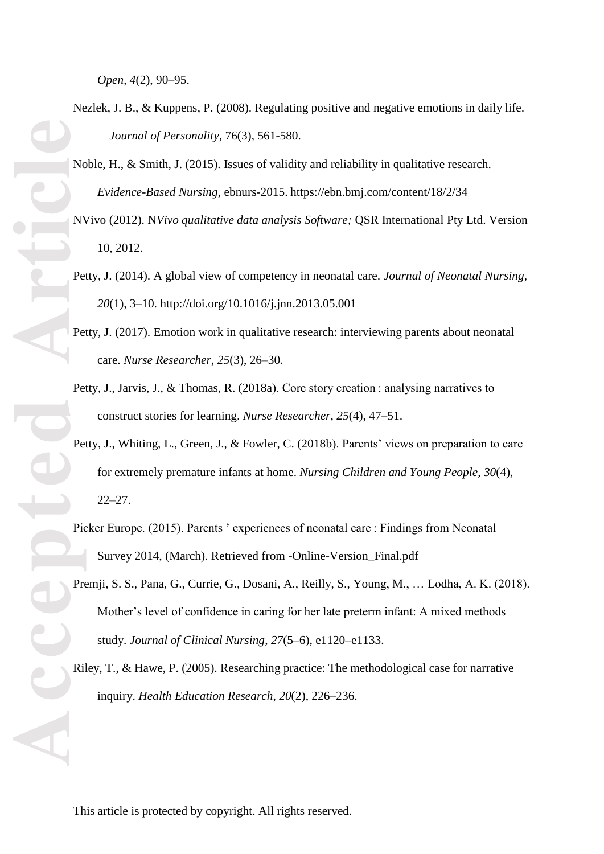*Open*, *4*(2), 90 –95.

- Nezlek, J. B., & Kuppens, P. (2008). Regulating positive and negative emotions in daily life. *Journal of Personality*, 76(3), 561 -580.
- Noble, H., & Smith, J. (2015). Issues of validity and reliability in qualitative research. *Evidence -Based Nursing*, ebnurs -2015. https://ebn.bmj.com/content/18/2/34
- NVivo (2012). N*Vivo qualitative data analysis Software;* QSR International Pty Ltd. Version 10, 2012.
- Petty, J. (2014). A global view of competency in neonatal care. *Journal of Neonatal Nursing*, *20*(1), 3 –10. http://doi.org/10.1016/j.jnn.2013.05.001
- Petty, J. (2017). Emotion work in qualitative research: interviewing parents about neonatal care. *Nurse Researcher*, *25*(3), 26 –30.
- Petty, J., Jarvis, J., & Thomas, R. (2018 a). Core story creation : analysing narratives to construct stories for learning. *Nurse Researcher*, *25*(4), 47 –51.
- **Accepted Article**<br> **Article**<br> **Article**<br> **Article**<br> **Article**<br> **Article**<br> **Article**<br> **Article**<br> **Pre** Petty, J., Whiting, L., Green, J., & Fowler, C. (2018b). Parents' views on preparation to care for extremely premature infants at home. *Nursing Children and Young People*, *30*(4), 22 –27.
	- Picker Europe. (2015). Parents ' experiences of neonatal care : Findings from Neonatal Survey 2014, (March). Retrieved from -Online-Version\_Final.pdf
	- Premji, S. S., Pana, G., Currie, G., Dosani, A., Reilly, S., Young, M., … Lodha, A. K. (2018). Mother's level of confidence in caring for her late preterm infant: A mixed methods study. *Journal of Clinical Nursing*, *27*(5 –6), e1120 –e1133.
	- Riley, T., & Hawe, P. (2005). Researching practice: The methodological case for narrative inquiry. *Health Education Research*, *20*(2), 226 –236.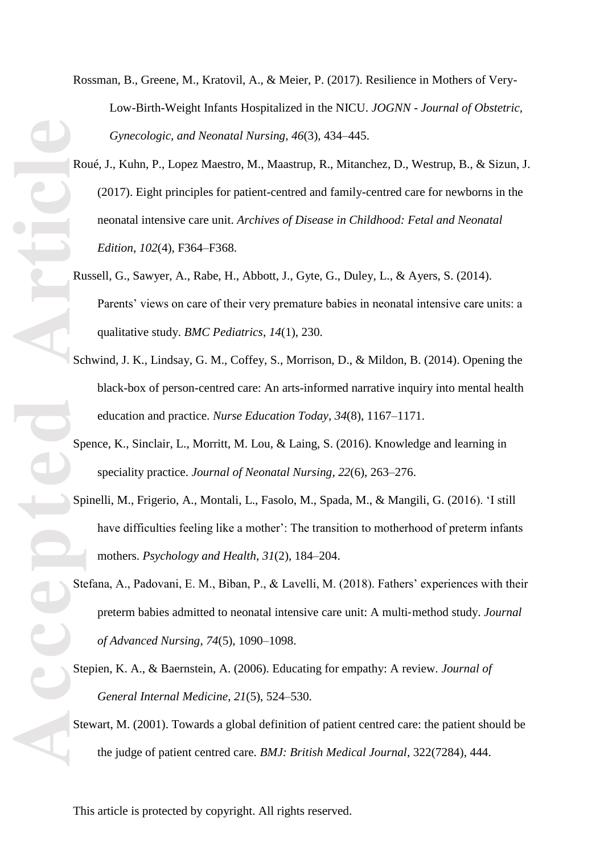Rossman, B., Greene, M., Kratovil, A., & Meier, P. (2017). Resilience in Mothers of Very - Low -Birth -Weight Infants Hospitalized in the NICU. *JOGNN - Journal of Obstetric, Gynecologic, and Neonatal Nursing*, *46*(3), 434 –445.

- Roué, J., Kuhn, P., Lopez Maestro, M., Maastrup, R., Mitanchez, D., Westrup, B., & Sizun, J. (2017). Eight principles for patient -centred and family -centred care for newborns in the neonatal intensive care unit. *Archives of Disease in Childhood: Fetal and Neonatal Edition*, *102*(4), F364 –F368.
- Russell, G., Sawyer, A., Rabe, H., Abbott, J., Gyte, G., Duley, L., & Ayers, S. (2014). Parents' views on care of their very premature babies in neonatal intensive care units: a qualitative study. *BMC Pediatrics*, *14*(1), 230.
- Schwind, J. K., Lindsay, G. M., Coffey, S., Morrison, D., & Mildon, B. (2014). Opening the black -box of person -centred care: An arts -informed narrative inquiry into mental health education and practice. *Nurse Education Today*, *34*(8), 1167 –1171.
- Spence, K., Sinclair, L., Morritt, M. Lou, & Laing, S. (2016). Knowledge and learning in speciality practice. *Journal of Neonatal Nursing*, *22*(6), 263 –276.
- Spinelli, M., Frigerio, A., Montali, L., Fasolo, M., Spada, M., & Mangili, G. (2016). 'I still have difficulties feeling like a mother': The transition to motherhood of preterm infants mothers. *Psychology and Health*, *31*(2), 184 –204.
- Stefana, A., Padovani, E. M., Biban, P., & Lavelli, M. (2018). Fathers' experiences with their preterm babies admitted to neonatal intensive care unit: A multi ‐method study. *Journal of Advanced Nursing*, *74*(5), 1090 –1098.
- Stepien, K. A., & Baernstein, A. (2006). Educating for empathy: A review. *Journal of General Internal Medicine*, *21*(5), 524 –530.
- Stewart, M. (2001). Towards a global definition of patient centred care: the patient should be the judge of patient centred care. *BMJ: British Medical Journal*, 322(7284), 444.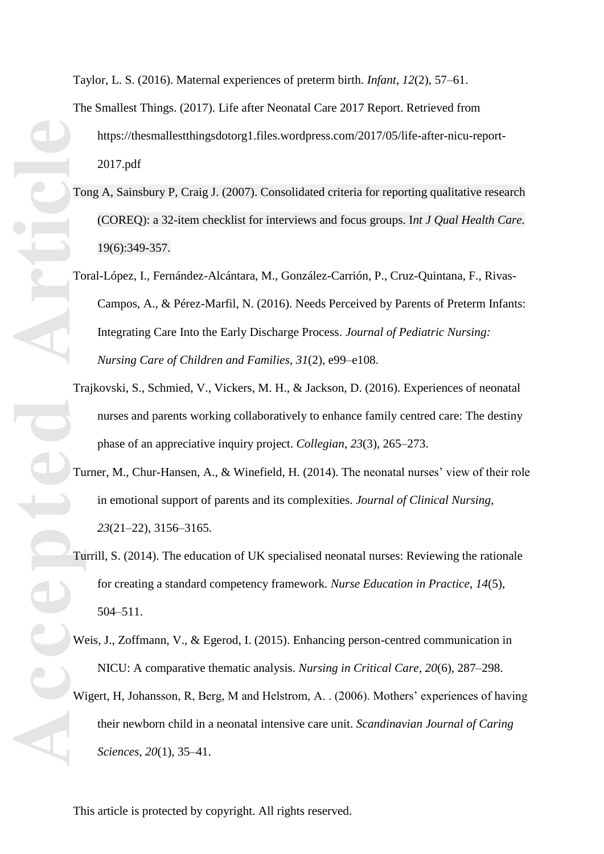Taylor, L. S. (2016). Maternal experiences of preterm birth. *Infant*, *12*(2), 57 –61.

- The Smallest Things. (2017). Life after Neonatal Care 2017 Report. Retrieved from https://thesmallestthingsdotorg1.files.wordpress.com/2017/05/life-after-nicu-report-2017.pdf
- Tong A, Sainsbury P, Craig J. (2007). Consolidated criteria for reporting qualitative research (COREQ): a 32 -item checklist for interviews and focus groups. I*nt J Qual Health Care.*  19(6):349 -357.
- Toral-López, I., Fernández-Alcántara, M., González-Carrión, P., Cruz-Quintana, F., Rivas-Campos, A., & Pérez -Marfil, N. (2016). Needs Perceived by Parents of Preterm Infants: Integrating Care Into the Early Discharge Process. *Journal of Pediatric Nursing: Nursing Care of Children and Families*, *31*(2), e99 –e108.
- Trajkovski, S., Schmied, V., Vickers, M. H., & Jackson, D. (2016). Experiences of neonatal nurses and parents working collaboratively to enhance family centred care: The destiny phase of an appreciative inquiry project. *Collegian*, *23*(3), 265 –273.
- Turner, M., Chur-Hansen, A., & Winefield, H. (2014). The neonatal nurses' view of their role in emotional support of parents and its complexities. *Journal of Clinical Nursing*, *23*(21 –22), 3156 –3165.
- Turrill, S. (2014). The education of UK specialised neonatal nurses: Reviewing the rationale for creating a standard competency framework. *Nurse Education in Practice*, *14*(5), 504 –511.
- Weis, J., Zoffmann, V., & Egerod, I. (2015). Enhancing person -centred communication in NICU: A comparative thematic analysis. *Nursing in Critical Care*, *20*(6), 287 –298.
- Wigert, H, Johansson, R, Berg, M and Helstrom, A. . (2006). Mothers' experiences of having their newborn child in a neonatal intensive care unit. *Scandinavian Journal of Caring Sciences*, *20*(1), 35 –41.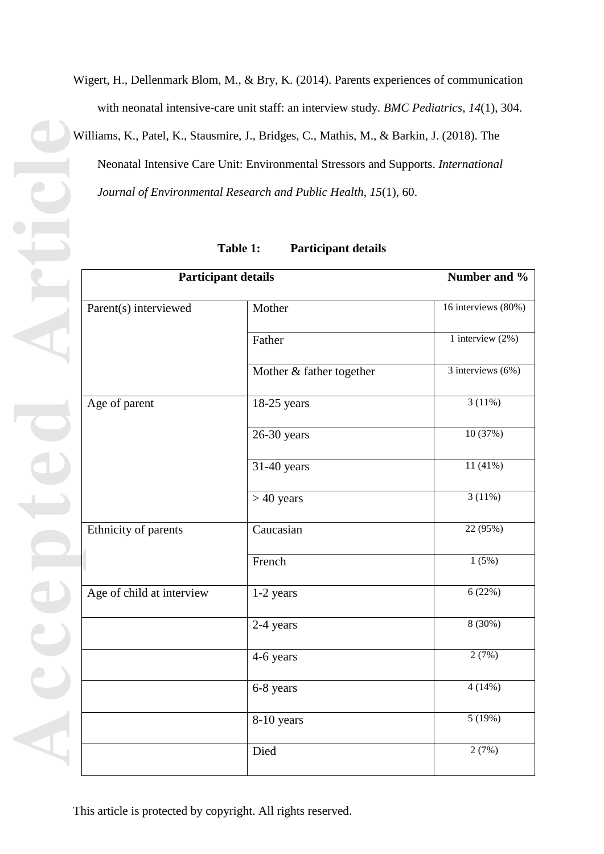**Accepted Article**

Wigert, H., Dellenmark Blom, M., & Bry, K. (2014). Parents experiences of communication with neonatal intensive -care unit staff: an interview study. *BMC Pediatrics*, *14*(1), 304.

Williams, K., Patel, K., Stausmire, J., Bridges, C., Mathis, M., & Barkin, J. (2018). The Neonatal Intensive Care Unit: Environmental Stressors and Supports. *International Journal of Environmental Research and Public Health*, *15*(1), 60.

| <b>Participant details</b> |                          | Number and %           |
|----------------------------|--------------------------|------------------------|
| Parent(s) interviewed      | Mother                   | 16 interviews (80%)    |
|                            | Father                   | 1 interview $(2\%)$    |
|                            | Mother & father together | $3$ interviews $(6\%)$ |
| Age of parent              | $18-25$ years            | 3(11%)                 |
|                            | 26-30 years              | 10(37%)                |
|                            | 31-40 years              | 11(41%)                |
|                            | $>40$ years              | 3(11%)                 |
| Ethnicity of parents       | Caucasian                | 22 (95%)               |
|                            | French                   | 1(5%)                  |
| Age of child at interview  | 1-2 years                | 6(22%)                 |
|                            | 2-4 years                | 8 (30%)                |
|                            | 4-6 years                | 2(7%)                  |
|                            | 6-8 years                | 4(14%)                 |
|                            | 8-10 years               | 5(19%)                 |
|                            | Died                     | 2(7%)                  |

**Table 1: Participant details**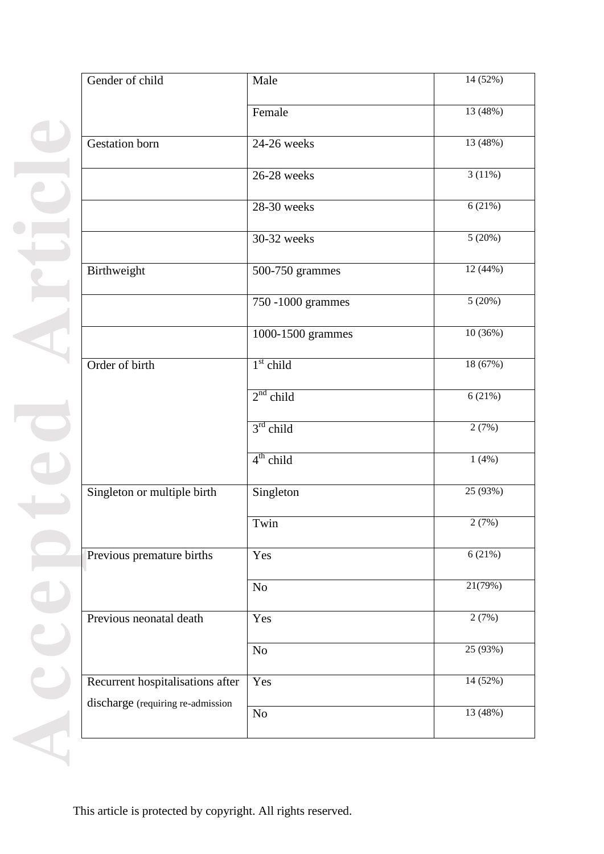| Gender of child                   | Male              | 14 (52%) |
|-----------------------------------|-------------------|----------|
|                                   | Female            | 13 (48%) |
| <b>Gestation</b> born             | 24-26 weeks       | 13 (48%) |
|                                   | 26-28 weeks       | 3(11%)   |
|                                   | 28-30 weeks       | 6(21%)   |
|                                   | 30-32 weeks       | 5(20%)   |
| Birthweight                       | 500-750 grammes   | 12 (44%) |
|                                   | 750 -1000 grammes | 5(20%)   |
|                                   | 1000-1500 grammes | 10(36%)  |
| Order of birth                    | $1st$ child       | 18 (67%) |
|                                   | $2nd$ child       | 6(21%)   |
|                                   | $3rd$ child       | 2(7%)    |
|                                   | $4th$ child       | 1(4%)    |
| Singleton or multiple birth       | Singleton         | 25 (93%) |
|                                   | Twin              | 2(7%)    |
| Previous premature births         | Yes               | 6(21%)   |
|                                   | No                | 21(79%)  |
| Previous neonatal death           | Yes               | 2(7%)    |
|                                   | No                | 25 (93%) |
| Recurrent hospitalisations after  | Yes               | 14 (52%) |
| discharge (requiring re-admission | No                | 13 (48%) |
|                                   |                   |          |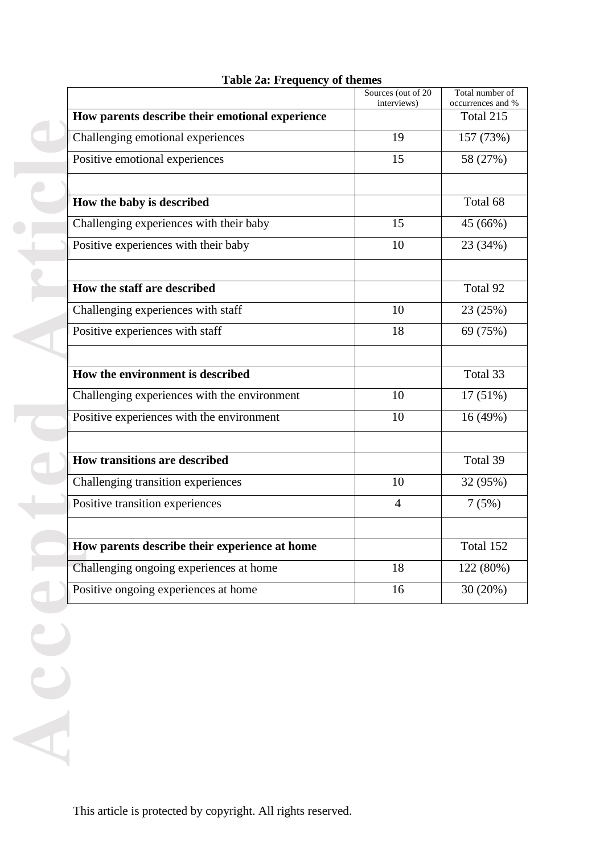|                                                 | Sources (out of 20<br>interviews) | Total number of<br>occurrences and % |
|-------------------------------------------------|-----------------------------------|--------------------------------------|
| How parents describe their emotional experience |                                   | Total 215                            |
| Challenging emotional experiences               | 19                                | 157 (73%)                            |
| Positive emotional experiences                  | 15                                | 58 (27%)                             |
| How the baby is described                       |                                   | Total 68                             |
| Challenging experiences with their baby         | 15                                | 45 (66%)                             |
| Positive experiences with their baby            | 10                                | 23 (34%)                             |
|                                                 |                                   |                                      |
| How the staff are described                     |                                   | Total 92                             |
| Challenging experiences with staff              | 10                                | 23 (25%)                             |
| Positive experiences with staff                 | 18                                | 69 (75%)                             |
| How the environment is described                |                                   | Total 33                             |
| Challenging experiences with the environment    | 10                                | 17 (51%)                             |
| Positive experiences with the environment       | 10                                | 16 (49%)                             |
| <b>How transitions are described</b>            |                                   | Total 39                             |
| Challenging transition experiences              | 10                                | 32 (95%)                             |
| Positive transition experiences                 | $\overline{4}$                    | 7(5%)                                |
| How parents describe their experience at home   |                                   | Total 152                            |
| Challenging ongoing experiences at home         | 18                                | 122 (80%)                            |
| Positive ongoing experiences at home            | 16                                | 30 (20%)                             |

# **Table 2a: Frequency of themes**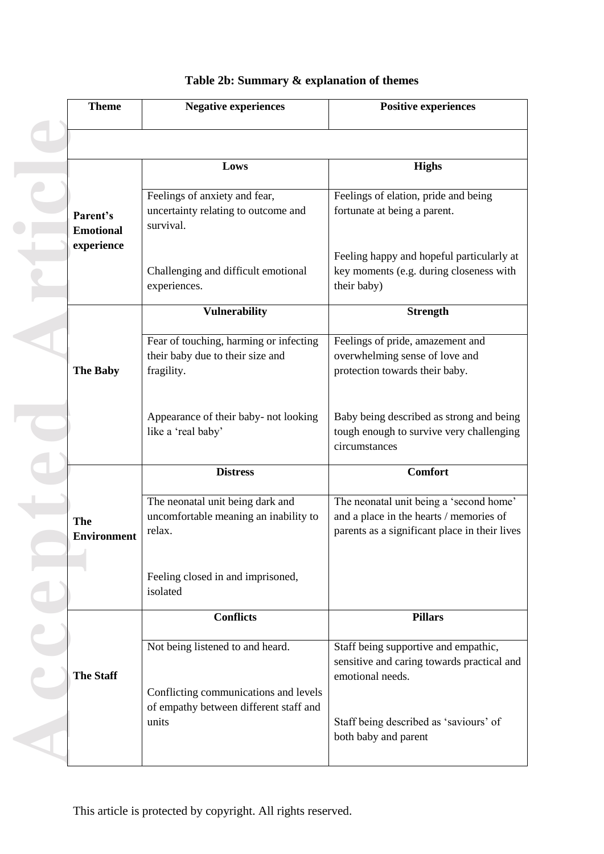| Table 2b: Summary & explanation of themes |  |
|-------------------------------------------|--|
|-------------------------------------------|--|

| <b>Theme</b>                 | <b>Negative experiences</b>                                                              | <b>Positive experiences</b>                                                                                                         |
|------------------------------|------------------------------------------------------------------------------------------|-------------------------------------------------------------------------------------------------------------------------------------|
|                              |                                                                                          |                                                                                                                                     |
|                              | Lows                                                                                     | <b>Highs</b>                                                                                                                        |
| Parent's<br><b>Emotional</b> | Feelings of anxiety and fear,<br>uncertainty relating to outcome and<br>survival.        | Feelings of elation, pride and being<br>fortunate at being a parent.                                                                |
| experience                   | Challenging and difficult emotional<br>experiences.                                      | Feeling happy and hopeful particularly at<br>key moments (e.g. during closeness with<br>their baby)                                 |
|                              | <b>Vulnerability</b>                                                                     | <b>Strength</b>                                                                                                                     |
| <b>The Baby</b>              | Fear of touching, harming or infecting<br>their baby due to their size and<br>fragility. | Feelings of pride, amazement and<br>overwhelming sense of love and<br>protection towards their baby.                                |
|                              | Appearance of their baby- not looking<br>like a 'real baby'                              | Baby being described as strong and being<br>tough enough to survive very challenging<br>circumstances                               |
|                              | <b>Distress</b>                                                                          | <b>Comfort</b>                                                                                                                      |
| The<br><b>Environment</b>    | The neonatal unit being dark and<br>uncomfortable meaning an inability to<br>relax.      | The neonatal unit being a 'second home'<br>and a place in the hearts / memories of<br>parents as a significant place in their lives |
|                              | Feeling closed in and imprisoned,<br>isolated                                            |                                                                                                                                     |
|                              | <b>Conflicts</b>                                                                         | <b>Pillars</b>                                                                                                                      |
| <b>The Staff</b>             | Not being listened to and heard.<br>Conflicting communications and levels                | Staff being supportive and empathic,<br>sensitive and caring towards practical and<br>emotional needs.                              |
|                              | of empathy between different staff and<br>units                                          | Staff being described as 'saviours' of<br>both baby and parent                                                                      |